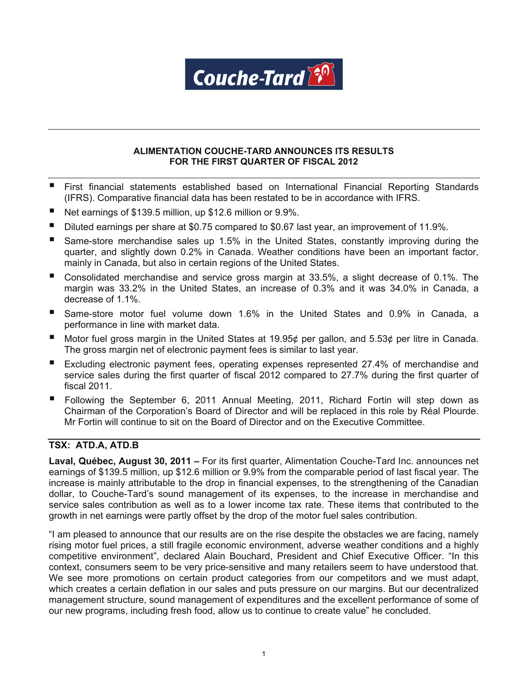

# **ALIMENTATION COUCHE-TARD ANNOUNCES ITS RESULTS FOR THE FIRST QUARTER OF FISCAL 2012**

- First financial statements established based on International Financial Reporting Standards (IFRS). Comparative financial data has been restated to be in accordance with IFRS.
- Net earnings of \$139.5 million, up \$12.6 million or 9.9%.
- Diluted earnings per share at \$0.75 compared to \$0.67 last year, an improvement of 11.9%.
- Same-store merchandise sales up 1.5% in the United States, constantly improving during the quarter, and slightly down 0.2% in Canada. Weather conditions have been an important factor, mainly in Canada, but also in certain regions of the United States.
- Consolidated merchandise and service gross margin at 33.5%, a slight decrease of 0.1%. The margin was 33.2% in the United States, an increase of 0.3% and it was 34.0% in Canada, a decrease of 1.1%.
- Same-store motor fuel volume down 1.6% in the United States and 0.9% in Canada, a performance in line with market data.
- Motor fuel gross margin in the United States at 19.95¢ per gallon, and 5.53¢ per litre in Canada. The gross margin net of electronic payment fees is similar to last year.
- Excluding electronic payment fees, operating expenses represented 27.4% of merchandise and service sales during the first quarter of fiscal 2012 compared to 27.7% during the first quarter of fiscal 2011.
- Following the September 6, 2011 Annual Meeting, 2011, Richard Fortin will step down as Chairman of the Corporation's Board of Director and will be replaced in this role by Réal Plourde. Mr Fortin will continue to sit on the Board of Director and on the Executive Committee.

# **TSX: ATD.A, ATD.B**

**Laval, Québec, August 30, 2011 –** For its first quarter, Alimentation Couche-Tard Inc. announces net earnings of \$139.5 million, up \$12.6 million or 9.9% from the comparable period of last fiscal year. The increase is mainly attributable to the drop in financial expenses, to the strengthening of the Canadian dollar, to Couche-Tard's sound management of its expenses, to the increase in merchandise and service sales contribution as well as to a lower income tax rate. These items that contributed to the growth in net earnings were partly offset by the drop of the motor fuel sales contribution.

"I am pleased to announce that our results are on the rise despite the obstacles we are facing, namely rising motor fuel prices, a still fragile economic environment, adverse weather conditions and a highly competitive environment", declared Alain Bouchard, President and Chief Executive Officer. "In this context, consumers seem to be very price-sensitive and many retailers seem to have understood that. We see more promotions on certain product categories from our competitors and we must adapt, which creates a certain deflation in our sales and puts pressure on our margins. But our decentralized management structure, sound management of expenditures and the excellent performance of some of our new programs, including fresh food, allow us to continue to create value" he concluded.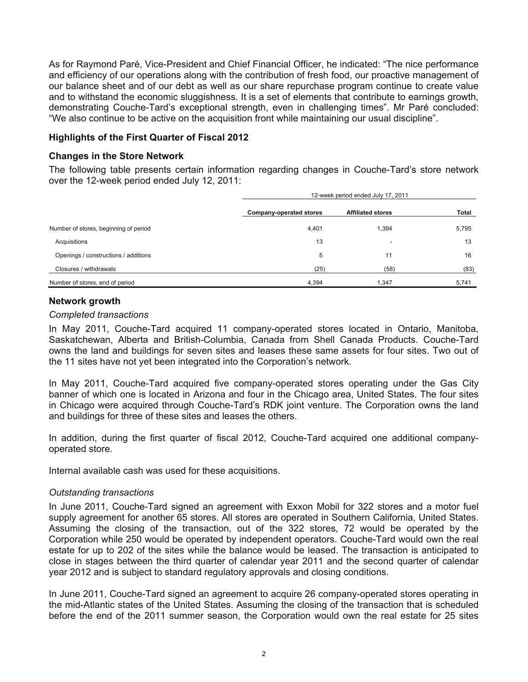As for Raymond Paré, Vice-President and Chief Financial Officer, he indicated: "The nice performance and efficiency of our operations along with the contribution of fresh food, our proactive management of our balance sheet and of our debt as well as our share repurchase program continue to create value and to withstand the economic sluggishness. It is a set of elements that contribute to earnings growth, demonstrating Couche-Tard's exceptional strength, even in challenging times". Mr Paré concluded: "We also continue to be active on the acquisition front while maintaining our usual discipline".

# **Highlights of the First Quarter of Fiscal 2012**

# **Changes in the Store Network**

The following table presents certain information regarding changes in Couche-Tard's store network over the 12-week period ended July 12, 2011:

|                                       |                         | 12-week period ended July 17, 2011 |       |  |  |  |
|---------------------------------------|-------------------------|------------------------------------|-------|--|--|--|
|                                       | Company-operated stores | <b>Affiliated stores</b>           | Total |  |  |  |
| Number of stores, beginning of period | 4,401                   | 1,394                              | 5,795 |  |  |  |
| Acquisitions                          | 13                      | -                                  | 13    |  |  |  |
| Openings / constructions / additions  | 5                       | 11                                 | 16    |  |  |  |
| Closures / withdrawals                | (25)                    | (58)                               | (83)  |  |  |  |
| Number of stores, end of period       | 4,394                   | 1,347                              | 5,741 |  |  |  |

# **Network growth**

# *Completed transactions*

In May 2011, Couche-Tard acquired 11 company-operated stores located in Ontario, Manitoba, Saskatchewan, Alberta and British-Columbia, Canada from Shell Canada Products. Couche-Tard owns the land and buildings for seven sites and leases these same assets for four sites. Two out of the 11 sites have not yet been integrated into the Corporation's network.

In May 2011, Couche-Tard acquired five company-operated stores operating under the Gas City banner of which one is located in Arizona and four in the Chicago area, United States. The four sites in Chicago were acquired through Couche-Tard's RDK joint venture. The Corporation owns the land and buildings for three of these sites and leases the others.

In addition, during the first quarter of fiscal 2012, Couche-Tard acquired one additional companyoperated store.

Internal available cash was used for these acquisitions.

# *Outstanding transactions*

In June 2011, Couche-Tard signed an agreement with Exxon Mobil for 322 stores and a motor fuel supply agreement for another 65 stores. All stores are operated in Southern California, United States. Assuming the closing of the transaction, out of the 322 stores, 72 would be operated by the Corporation while 250 would be operated by independent operators. Couche-Tard would own the real estate for up to 202 of the sites while the balance would be leased. The transaction is anticipated to close in stages between the third quarter of calendar year 2011 and the second quarter of calendar year 2012 and is subject to standard regulatory approvals and closing conditions.

In June 2011, Couche-Tard signed an agreement to acquire 26 company-operated stores operating in the mid-Atlantic states of the United States. Assuming the closing of the transaction that is scheduled before the end of the 2011 summer season, the Corporation would own the real estate for 25 sites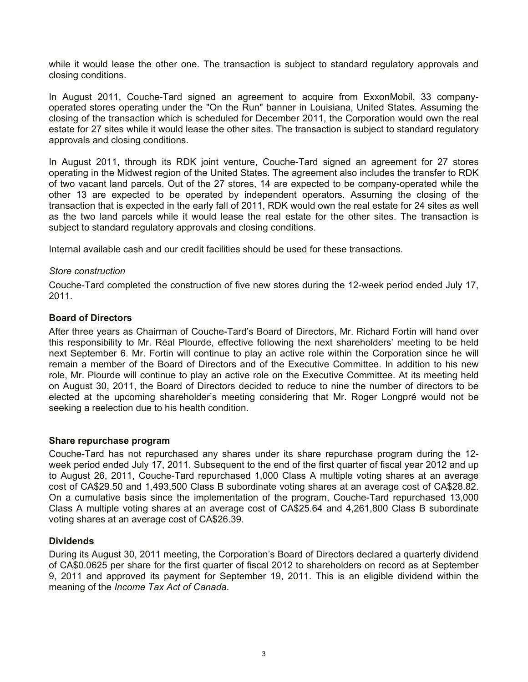while it would lease the other one. The transaction is subject to standard regulatory approvals and closing conditions.

In August 2011, Couche-Tard signed an agreement to acquire from ExxonMobil, 33 companyoperated stores operating under the "On the Run" banner in Louisiana, United States. Assuming the closing of the transaction which is scheduled for December 2011, the Corporation would own the real estate for 27 sites while it would lease the other sites. The transaction is subject to standard regulatory approvals and closing conditions.

In August 2011, through its RDK joint venture, Couche-Tard signed an agreement for 27 stores operating in the Midwest region of the United States. The agreement also includes the transfer to RDK of two vacant land parcels. Out of the 27 stores, 14 are expected to be company-operated while the other 13 are expected to be operated by independent operators. Assuming the closing of the transaction that is expected in the early fall of 2011, RDK would own the real estate for 24 sites as well as the two land parcels while it would lease the real estate for the other sites. The transaction is subject to standard regulatory approvals and closing conditions.

Internal available cash and our credit facilities should be used for these transactions.

# *Store construction*

Couche-Tard completed the construction of five new stores during the 12-week period ended July 17, 2011.

# **Board of Directors**

After three years as Chairman of Couche-Tard's Board of Directors, Mr. Richard Fortin will hand over this responsibility to Mr. Réal Plourde, effective following the next shareholders' meeting to be held next September 6. Mr. Fortin will continue to play an active role within the Corporation since he will remain a member of the Board of Directors and of the Executive Committee. In addition to his new role, Mr. Plourde will continue to play an active role on the Executive Committee. At its meeting held on August 30, 2011, the Board of Directors decided to reduce to nine the number of directors to be elected at the upcoming shareholder's meeting considering that Mr. Roger Longpré would not be seeking a reelection due to his health condition.

# **Share repurchase program**

Couche-Tard has not repurchased any shares under its share repurchase program during the 12 week period ended July 17, 2011. Subsequent to the end of the first quarter of fiscal year 2012 and up to August 26, 2011, Couche-Tard repurchased 1,000 Class A multiple voting shares at an average cost of CA\$29.50 and 1,493,500 Class B subordinate voting shares at an average cost of CA\$28.82. On a cumulative basis since the implementation of the program, Couche-Tard repurchased 13,000 Class A multiple voting shares at an average cost of CA\$25.64 and 4,261,800 Class B subordinate voting shares at an average cost of CA\$26.39.

# **Dividends**

During its August 30, 2011 meeting, the Corporation's Board of Directors declared a quarterly dividend of CA\$0.0625 per share for the first quarter of fiscal 2012 to shareholders on record as at September 9, 2011 and approved its payment for September 19, 2011. This is an eligible dividend within the meaning of the *Income Tax Act of Canada*.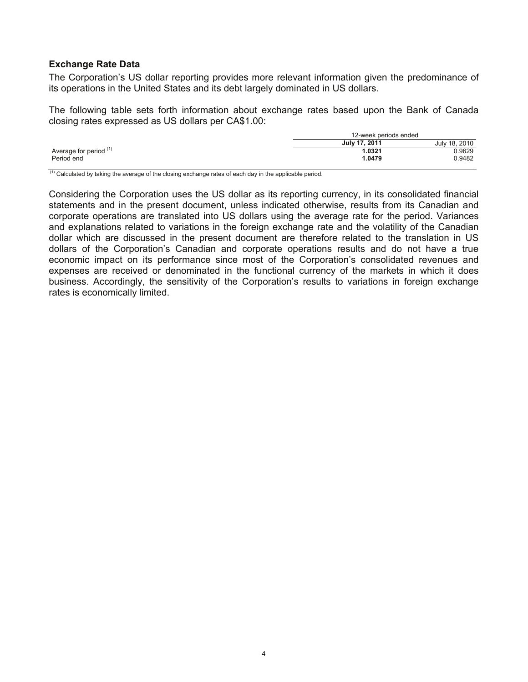# **Exchange Rate Data**

The Corporation's US dollar reporting provides more relevant information given the predominance of its operations in the United States and its debt largely dominated in US dollars.

The following table sets forth information about exchange rates based upon the Bank of Canada closing rates expressed as US dollars per CA\$1.00:

| 12-week periods ended |  |  |
|-----------------------|--|--|
| July 18, 2010         |  |  |
| ን.9629                |  |  |
| 0.9482                |  |  |
|                       |  |  |

 $(1)$  Calculated by taking the average of the closing exchange rates of each day in the applicable period.

Considering the Corporation uses the US dollar as its reporting currency, in its consolidated financial statements and in the present document, unless indicated otherwise, results from its Canadian and corporate operations are translated into US dollars using the average rate for the period. Variances and explanations related to variations in the foreign exchange rate and the volatility of the Canadian dollar which are discussed in the present document are therefore related to the translation in US dollars of the Corporation's Canadian and corporate operations results and do not have a true economic impact on its performance since most of the Corporation's consolidated revenues and expenses are received or denominated in the functional currency of the markets in which it does business. Accordingly, the sensitivity of the Corporation's results to variations in foreign exchange rates is economically limited.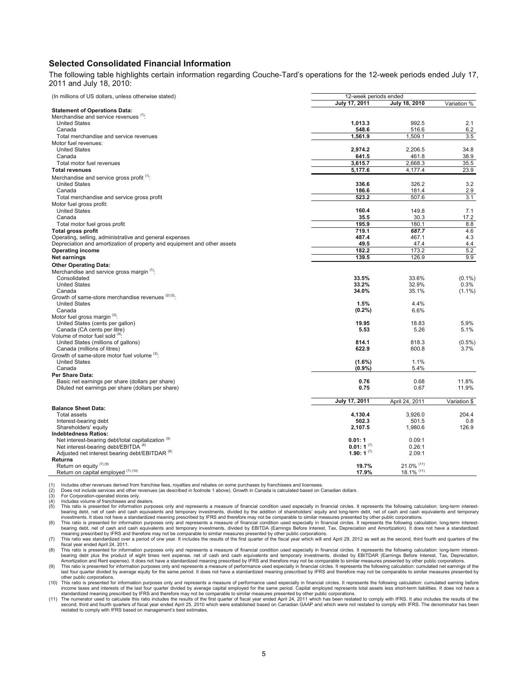#### **Selected Consolidated Financial Information**

The following table highlights certain information regarding Couche-Tard's operations for the 12-week periods ended July 17, 2011 and July 18, 2010:

| (In millions of US dollars, unless otherwise stated)                     | 12-week periods ended |                |              |
|--------------------------------------------------------------------------|-----------------------|----------------|--------------|
|                                                                          | July 17, 2011         | July 18, 2010  | Variation %  |
| <b>Statement of Operations Data:</b>                                     |                       |                |              |
| Merchandise and service revenues (1):                                    |                       |                |              |
| <b>United States</b>                                                     | 1,013.3               | 992.5          | 2.1          |
| Canada                                                                   | 548.6                 | 516.6          | 6.2          |
| Total merchandise and service revenues                                   | 1,561.9               | 1,509.1        | 3.5          |
| Motor fuel revenues:                                                     |                       |                |              |
| <b>United States</b>                                                     | 2,974.2               | 2,206.5        | 34.8         |
| Canada                                                                   | 641.5                 | 461.8          | 38.9         |
| Total motor fuel revenues                                                | 3,615.7               | 2.668.3        | 35.5         |
| <b>Total revenues</b>                                                    | 5,177.6               | 4,177.4        | 23.9         |
| Merchandise and service gross profit <sup>(1)</sup> :                    |                       |                |              |
| <b>United States</b>                                                     | 336.6                 | 326.2          | 3.2          |
| Canada                                                                   | 186.6                 | 181.4          | 2.9          |
| Total merchandise and service gross profit                               | 523.2                 | 507.6          | 3.1          |
| Motor fuel gross profit:                                                 |                       |                |              |
| <b>United States</b>                                                     | 160.4                 | 149.8          | 7.1          |
| Canada                                                                   | 35.5                  | 30.3           | 17.2         |
| Total motor fuel gross profit                                            | 195.9                 | 180.1          | 8.8          |
| <b>Total gross profit</b>                                                | 719.1                 | 687.7          | 4.6          |
| Operating, selling, administrative and general expenses                  | 487.4                 | 467.1          | 4.3          |
| Depreciation and amortization of property and equipment and other assets | 49.5                  | 47.4           | 4.4          |
| <b>Operating income</b>                                                  | 182.2                 | 173.2          | 5.2          |
| Net earnings                                                             | 139.5                 | 126.9          | 9.9          |
| <b>Other Operating Data:</b>                                             |                       |                |              |
| Merchandise and service gross margin (1):                                |                       |                |              |
| Consolidated                                                             | 33.5%                 | 33.6%          | $(0.1\%)$    |
| <b>United States</b>                                                     | 33.2%                 | 32.9%          | 0.3%         |
| Canada                                                                   | 34.0%                 | 35.1%          | $(1.1\%)$    |
| Growth of same-store merchandise revenues (2) (3):                       |                       |                |              |
| <b>United States</b><br>Canada                                           | 1.5%                  | 4.4%<br>6.6%   |              |
| Motor fuel gross margin (3):                                             | $(0.2\%)$             |                |              |
| United States (cents per gallon)                                         | 19.95                 | 18.83          | 5.9%         |
| Canada (CA cents per litre)                                              | 5.53                  | 5.26           | 5.1%         |
| Volume of motor fuel sold (4):                                           |                       |                |              |
| United States (millions of gallons)                                      | 814.1                 | 818.3          | $(0.5\%)$    |
| Canada (millions of litres)                                              | 622.9                 | 600.8          | 3.7%         |
| Growth of same-store motor fuel volume (3):                              |                       |                |              |
| <b>United States</b>                                                     | $(1.6\%)$             | 1.1%           |              |
| Canada                                                                   | (0.9%                 | 5.4%           |              |
| Per Share Data:                                                          |                       |                |              |
| Basic net earnings per share (dollars per share)                         | 0.76                  | 0.68           | 11.8%        |
| Diluted net earnings per share (dollars per share)                       | 0.75                  | 0.67           | 11.9%        |
|                                                                          |                       |                |              |
|                                                                          | July 17, 2011         | April 24, 2011 | Variation \$ |
| <b>Balance Sheet Data:</b>                                               |                       |                |              |
| <b>Total assets</b>                                                      | 4,130.4               | 3,926.0        | 204.4        |
| Interest-bearing debt                                                    | 502.3                 | 501.5          | 0.8          |
| Shareholders' equity                                                     | 2,107.5               | 1,980.6        | 126.9        |
| <b>Indebtedness Ratios:</b>                                              |                       |                |              |
| Net interest-bearing debt/total capitalization <sup>(5)</sup>            | 0.01:1                | 0.09:1         |              |
| Net interest-bearing debt/EBITDA <sup>(6)</sup>                          | $0.01:1^{(7)}$        | 0.26:1         |              |
| Adjusted net interest bearing debt/EBITDAR <sup>(8)</sup>                | 1.90: 1 $(7)$         | 2.09:1         |              |
| <b>Returns</b>                                                           |                       |                |              |
| Return on equity (7) (9)                                                 | 19.7%                 | 21.0% (11)     |              |
| Return on capital employed (7) (10)                                      | 17.9%                 | 18.1% (11)     |              |

(1) Includes other revenues derived from franchise fees, royalties and rebates on some purchases by franchisees and licensees.<br>(2) Does not include services and other revenues (as described in footnote 1 above). Growth in (2) Does not include services and other revenues (as described in footnote 1 above). Growth in Canada is calculated based on Canadian dollars.

(3) For Corporation-operated stores only.

(4) Includes volume of franchisees and dealers.<br>(5) This ratio is presented for information purp

This ratio is presented for information purposes only and represents a measure of financial condition used especially in financial circles. It represents the following calculation: long-term interest-<br>This ratio is present bearing debt, net of cash and cash equivalents and temporary investments, divided by the addition of shareholders' equity and long-term debt, net of cash and cash equivalents and temporary<br>investments. It does not have a s

bearing debt, net of cash and cash equivalents and temporary investments, divided by EBITDA (Earnings Before Interest, Tax, Depreciation and Amortization). It does not have a standardized<br>meaning prescribed by IFRS and the

(7) This ratio was standardized over a period of one year. It includes the results of the first quarter of the fiscal year which will end April 29, 2012 as well as the second, third fourth and quarters of the fiscal year ended April 24, 2011.

This ratio is presented for information purposes only and represents a measure of financial condition used especially in financial circles. It represents the following calculation: long-term interest-<br>bearing debt plus the

last four quarter divided by average equity for the same period. It does not have a standardized meaning prescribed by IFRS and therefore may not be comparable to similar measures presented by other public corporations.

(10) This ratio is presented for information purposes only and represents a measure of performance used especially in financial circles. It represents the following calculation: cumulated earning before income taxes and interests of the last four quarter divided by average capital employed for the same period. Capital employed represents total assets less short-term liabilities. It does not have a<br>standardized meaning pre

second, third and fourth quarters of fiscal year ended April 25, 2010 which were established based on Canadian GAAP and which were not restated to comply with IFRS. The denominator has been<br>restated to comply with IFRS bas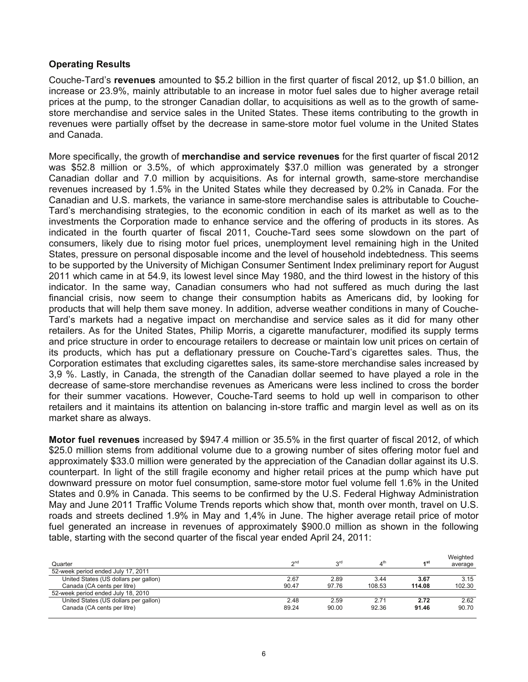# **Operating Results**

Couche-Tard's **revenues** amounted to \$5.2 billion in the first quarter of fiscal 2012, up \$1.0 billion, an increase or 23.9%, mainly attributable to an increase in motor fuel sales due to higher average retail prices at the pump, to the stronger Canadian dollar, to acquisitions as well as to the growth of samestore merchandise and service sales in the United States. These items contributing to the growth in revenues were partially offset by the decrease in same-store motor fuel volume in the United States and Canada.

More specifically, the growth of **merchandise and service revenues** for the first quarter of fiscal 2012 was \$52.8 million or 3.5%, of which approximately \$37.0 million was generated by a stronger Canadian dollar and 7.0 million by acquisitions. As for internal growth, same-store merchandise revenues increased by 1.5% in the United States while they decreased by 0.2% in Canada. For the Canadian and U.S. markets, the variance in same-store merchandise sales is attributable to Couche-Tard's merchandising strategies, to the economic condition in each of its market as well as to the investments the Corporation made to enhance service and the offering of products in its stores. As indicated in the fourth quarter of fiscal 2011, Couche-Tard sees some slowdown on the part of consumers, likely due to rising motor fuel prices, unemployment level remaining high in the United States, pressure on personal disposable income and the level of household indebtedness. This seems to be supported by the University of Michigan Consumer Sentiment Index preliminary report for August 2011 which came in at 54.9, its lowest level since May 1980, and the third lowest in the history of this indicator. In the same way, Canadian consumers who had not suffered as much during the last financial crisis, now seem to change their consumption habits as Americans did, by looking for products that will help them save money. In addition, adverse weather conditions in many of Couche-Tard's markets had a negative impact on merchandise and service sales as it did for many other retailers. As for the United States, Philip Morris, a cigarette manufacturer, modified its supply terms and price structure in order to encourage retailers to decrease or maintain low unit prices on certain of its products, which has put a deflationary pressure on Couche-Tard's cigarettes sales. Thus, the Corporation estimates that excluding cigarettes sales, its same-store merchandise sales increased by 3,9 %. Lastly, in Canada, the strength of the Canadian dollar seemed to have played a role in the decrease of same-store merchandise revenues as Americans were less inclined to cross the border for their summer vacations. However, Couche-Tard seems to hold up well in comparison to other retailers and it maintains its attention on balancing in-store traffic and margin level as well as on its market share as always.

**Motor fuel revenues** increased by \$947.4 million or 35.5% in the first quarter of fiscal 2012, of which \$25.0 million stems from additional volume due to a growing number of sites offering motor fuel and approximately \$33.0 million were generated by the appreciation of the Canadian dollar against its U.S. counterpart. In light of the still fragile economy and higher retail prices at the pump which have put downward pressure on motor fuel consumption, same-store motor fuel volume fell 1.6% in the United States and 0.9% in Canada. This seems to be confirmed by the U.S. Federal Highway Administration May and June 2011 Traffic Volume Trends reports which show that, month over month, travel on U.S. roads and streets declined 1.9% in May and 1,4% in June. The higher average retail price of motor fuel generated an increase in revenues of approximately \$900.0 million as shown in the following table, starting with the second quarter of the fiscal year ended April 24, 2011:

| Quarter                               | n <sup>nc</sup> | ord   | $4^{\text{th}}$ | ⊿st    | Weighted<br>average |
|---------------------------------------|-----------------|-------|-----------------|--------|---------------------|
| 52-week period ended July 17, 2011    |                 |       |                 |        |                     |
| United States (US dollars per gallon) | 2.67            | 2.89  | 3.44            | 3.67   | 3.15                |
| Canada (CA cents per litre)           | 90.47           | 97.76 | 108.53          | 114.08 | 102.30              |
| 52-week period ended July 18, 2010    |                 |       |                 |        |                     |
| United States (US dollars per gallon) | 2.48            | 2.59  | 2.71            | 2.72   | 2.62                |
| Canada (CA cents per litre)           | 89.24           | 90.00 | 92.36           | 91.46  | 90.70               |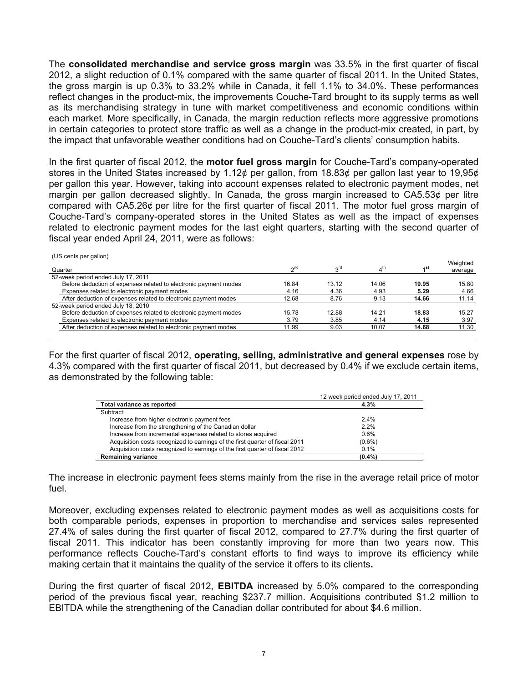The **consolidated merchandise and service gross margin** was 33.5% in the first quarter of fiscal 2012, a slight reduction of 0.1% compared with the same quarter of fiscal 2011. In the United States, the gross margin is up 0.3% to 33.2% while in Canada, it fell 1.1% to 34.0%. These performances reflect changes in the product-mix, the improvements Couche-Tard brought to its supply terms as well as its merchandising strategy in tune with market competitiveness and economic conditions within each market. More specifically, in Canada, the margin reduction reflects more aggressive promotions in certain categories to protect store traffic as well as a change in the product-mix created, in part, by the impact that unfavorable weather conditions had on Couche-Tard's clients' consumption habits.

In the first quarter of fiscal 2012, the **motor fuel gross margin** for Couche-Tard's company-operated stores in the United States increased by 1.12¢ per gallon, from 18.83¢ per gallon last year to 19,95¢ per gallon this year. However, taking into account expenses related to electronic payment modes, net margin per gallon decreased slightly. In Canada, the gross margin increased to CA5.53¢ per litre compared with CA5.26¢ per litre for the first quarter of fiscal 2011. The motor fuel gross margin of Couche-Tard's company-operated stores in the United States as well as the impact of expenses related to electronic payment modes for the last eight quarters, starting with the second quarter of fiscal year ended April 24, 2011, were as follows:

(US cents per gallon)

| Quarter                                                          | $\gamma$ <sup>nd</sup> | 3 <sup>rd</sup> |       | ⊿st   | Weighted<br>average |
|------------------------------------------------------------------|------------------------|-----------------|-------|-------|---------------------|
| 52-week period ended July 17, 2011                               |                        |                 |       |       |                     |
| Before deduction of expenses related to electronic payment modes | 16.84                  | 13.12           | 14.06 | 19.95 | 15.80               |
| Expenses related to electronic payment modes                     | 4.16                   | 4.36            | 4.93  | 5.29  | 4.66                |
| After deduction of expenses related to electronic payment modes  | 12.68                  | 8.76            | 9.13  | 14.66 | 11.14               |
| 52-week period ended July 18, 2010                               |                        |                 |       |       |                     |
| Before deduction of expenses related to electronic payment modes | 15.78                  | 12.88           | 14.21 | 18.83 | 15.27               |
| Expenses related to electronic payment modes                     | 3.79                   | 3.85            | 4.14  | 4.15  | 3.97                |
| After deduction of expenses related to electronic payment modes  | 11.99                  | 9.03            | 10.07 | 14.68 | 11.30               |
|                                                                  |                        |                 |       |       |                     |

For the first quarter of fiscal 2012, **operating, selling, administrative and general expenses** rose by 4.3% compared with the first quarter of fiscal 2011, but decreased by 0.4% if we exclude certain items, as demonstrated by the following table:

|                                                                              | 12 week period ended July 17, 2011 |
|------------------------------------------------------------------------------|------------------------------------|
| Total variance as reported                                                   | 4.3%                               |
| Subtract:                                                                    |                                    |
| Increase from higher electronic payment fees                                 | $2.4\%$                            |
| Increase from the strengthening of the Canadian dollar                       | 2.2%                               |
| Increase from incremental expenses related to stores acquired                | 0.6%                               |
| Acquisition costs recognized to earnings of the first guarter of fiscal 2011 | $(0.6\%)$                          |
| Acquisition costs recognized to earnings of the first guarter of fiscal 2012 | 0.1%                               |
| <b>Remaining variance</b>                                                    | $(0.4\%)$                          |

The increase in electronic payment fees stems mainly from the rise in the average retail price of motor fuel.

Moreover, excluding expenses related to electronic payment modes as well as acquisitions costs for both comparable periods, expenses in proportion to merchandise and services sales represented 27.4% of sales during the first quarter of fiscal 2012, compared to 27.7% during the first quarter of fiscal 2011. This indicator has been constantly improving for more than two years now. This performance reflects Couche-Tard's constant efforts to find ways to improve its efficiency while making certain that it maintains the quality of the service it offers to its clients**.** 

During the first quarter of fiscal 2012, **EBITDA** increased by 5.0% compared to the corresponding period of the previous fiscal year, reaching \$237.7 million. Acquisitions contributed \$1.2 million to EBITDA while the strengthening of the Canadian dollar contributed for about \$4.6 million.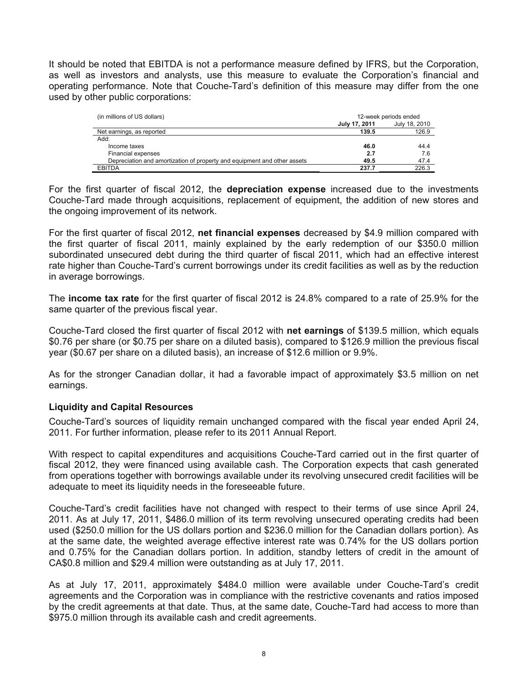It should be noted that EBITDA is not a performance measure defined by IFRS, but the Corporation, as well as investors and analysts, use this measure to evaluate the Corporation's financial and operating performance. Note that Couche-Tard's definition of this measure may differ from the one used by other public corporations:

| (in millions of US dollars)                                              | 12-week periods ended |               |  |
|--------------------------------------------------------------------------|-----------------------|---------------|--|
|                                                                          | July 17, 2011         | July 18, 2010 |  |
| Net earnings, as reported                                                | 139.5                 | 126.9         |  |
| Add:                                                                     |                       |               |  |
| Income taxes                                                             | 46.0                  | 44.4          |  |
| Financial expenses                                                       | 2.7                   | 7.6           |  |
| Depreciation and amortization of property and equipment and other assets | 49.5                  | 47.4          |  |
| <b>EBITDA</b>                                                            | 237.7                 | 226.3         |  |

For the first quarter of fiscal 2012, the **depreciation expense** increased due to the investments Couche-Tard made through acquisitions, replacement of equipment, the addition of new stores and the ongoing improvement of its network.

For the first quarter of fiscal 2012, **net financial expenses** decreased by \$4.9 million compared with the first quarter of fiscal 2011, mainly explained by the early redemption of our \$350.0 million subordinated unsecured debt during the third quarter of fiscal 2011, which had an effective interest rate higher than Couche-Tard's current borrowings under its credit facilities as well as by the reduction in average borrowings.

The **income tax rate** for the first quarter of fiscal 2012 is 24.8% compared to a rate of 25.9% for the same quarter of the previous fiscal year.

Couche-Tard closed the first quarter of fiscal 2012 with **net earnings** of \$139.5 million, which equals \$0.76 per share (or \$0.75 per share on a diluted basis), compared to \$126.9 million the previous fiscal year (\$0.67 per share on a diluted basis), an increase of \$12.6 million or 9.9%.

As for the stronger Canadian dollar, it had a favorable impact of approximately \$3.5 million on net earnings.

# **Liquidity and Capital Resources**

Couche-Tard's sources of liquidity remain unchanged compared with the fiscal year ended April 24, 2011. For further information, please refer to its 2011 Annual Report.

With respect to capital expenditures and acquisitions Couche-Tard carried out in the first quarter of fiscal 2012, they were financed using available cash. The Corporation expects that cash generated from operations together with borrowings available under its revolving unsecured credit facilities will be adequate to meet its liquidity needs in the foreseeable future.

Couche-Tard's credit facilities have not changed with respect to their terms of use since April 24, 2011. As at July 17, 2011, \$486.0 million of its term revolving unsecured operating credits had been used (\$250.0 million for the US dollars portion and \$236.0 million for the Canadian dollars portion). As at the same date, the weighted average effective interest rate was 0.74% for the US dollars portion and 0.75% for the Canadian dollars portion. In addition, standby letters of credit in the amount of CA\$0.8 million and \$29.4 million were outstanding as at July 17, 2011.

As at July 17, 2011, approximately \$484.0 million were available under Couche-Tard's credit agreements and the Corporation was in compliance with the restrictive covenants and ratios imposed by the credit agreements at that date. Thus, at the same date, Couche-Tard had access to more than \$975.0 million through its available cash and credit agreements.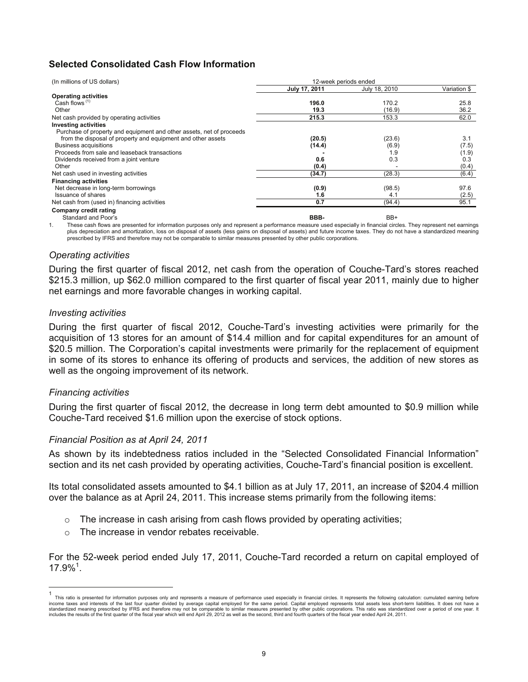# **Selected Consolidated Cash Flow Information**

| (In millions of US dollars)<br>12-week periods ended                 |               |               |              |
|----------------------------------------------------------------------|---------------|---------------|--------------|
|                                                                      | July 17, 2011 | July 18, 2010 | Variation \$ |
| <b>Operating activities</b>                                          |               |               |              |
| Cash flows $(1)$                                                     | 196.0         | 170.2         | 25.8         |
| Other                                                                | 19.3          | (16.9)        | 36.2         |
| Net cash provided by operating activities                            | 215.3         | 153.3         | 62.0         |
| <b>Investing activities</b>                                          |               |               |              |
| Purchase of property and equipment and other assets, net of proceeds |               |               |              |
| from the disposal of property and equipment and other assets         | (20.5)        | (23.6)        | 3.1          |
| Business acquisitions                                                | (14.4)        | (6.9)         | (7.5)        |
| Proceeds from sale and leaseback transactions                        |               | 1.9           | (1.9)        |
| Dividends received from a joint venture                              | 0.6           | 0.3           | 0.3          |
| Other                                                                | (0.4)         |               | (0.4)        |
| Net cash used in investing activities                                | (34.7)        | (28.3)        | (6.4)        |
| <b>Financing activities</b>                                          |               |               |              |
| Net decrease in long-term borrowings                                 | (0.9)         | (98.5)        | 97.6         |
| Issuance of shares                                                   | 1.6           | 4.1           | (2.5)        |
| Net cash from (used in) financing activities                         | 0.7           | (94.4)        | 95.1         |
| Company credit rating                                                |               |               |              |
| Standard and Poor's                                                  | BBB-          | BB+           |              |

1. These cash flows are presented for information purposes only and represent a performance measure used especially in financial circles. They represent net earnings plus depreciation and amortization, loss on disposal of assets (less gains on disposal of assets) and future income taxes. They do not have a standardized meaning prescribed by IFRS and therefore may not be comparable to similar measures presented by other public corporations.

# *Operating activities*

During the first quarter of fiscal 2012, net cash from the operation of Couche-Tard's stores reached \$215.3 million, up \$62.0 million compared to the first quarter of fiscal year 2011, mainly due to higher net earnings and more favorable changes in working capital.

# *Investing activities*

During the first quarter of fiscal 2012, Couche-Tard's investing activities were primarily for the acquisition of 13 stores for an amount of \$14.4 million and for capital expenditures for an amount of \$20.5 million. The Corporation's capital investments were primarily for the replacement of equipment in some of its stores to enhance its offering of products and services, the addition of new stores as well as the ongoing improvement of its network.

# *Financing activities*

 $\overline{a}$ 

During the first quarter of fiscal 2012, the decrease in long term debt amounted to \$0.9 million while Couche-Tard received \$1.6 million upon the exercise of stock options.

# *Financial Position as at April 24, 2011*

As shown by its indebtedness ratios included in the "Selected Consolidated Financial Information" section and its net cash provided by operating activities, Couche-Tard's financial position is excellent.

Its total consolidated assets amounted to \$4.1 billion as at July 17, 2011, an increase of \$204.4 million over the balance as at April 24, 2011. This increase stems primarily from the following items:

- $\circ$  The increase in cash arising from cash flows provided by operating activities;
- o The increase in vendor rebates receivable.

For the 52-week period ended July 17, 2011, Couche-Tard recorded a return on capital employed of  $17.9\%$ <sup>1</sup>.

<sup>1</sup> This ratio is presented for information purposes only and represents a measure of performance used especially in financial circles. It represents the following calculation: cumulated earning before income taxes and interests of the last four quarter divided by average capital employed for the same period. Capital employed represents total assets less short-term liabilities. It does not have a standardized meaning prescribed by IFRS and therefore may not be comparable to similar measures presented by other public corporations. This ratio was standardized over a period of one year. It includes the results of the first quarter of the fiscal year which will end April 29, 2012 as well as the second, third and fourth quarters of the fiscal year ended April 24, 2011.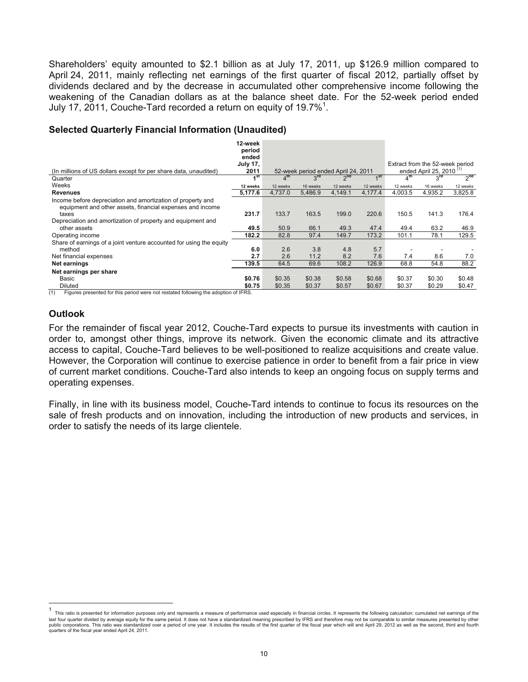Shareholders' equity amounted to \$2.1 billion as at July 17, 2011, up \$126.9 million compared to April 24, 2011, mainly reflecting net earnings of the first quarter of fiscal 2012, partially offset by dividends declared and by the decrease in accumulated other comprehensive income following the weakening of the Canadian dollars as at the balance sheet date. For the 52-week period ended July 17, 2011, Couche-Tard recorded a return on equity of 19.7%<sup>1</sup>.

# **Selected Quarterly Financial Information (Unaudited)**

|                                                                     | 12-week<br>period |                 |          |                                     |          |                 |                                     |                 |
|---------------------------------------------------------------------|-------------------|-----------------|----------|-------------------------------------|----------|-----------------|-------------------------------------|-----------------|
|                                                                     | ended             |                 |          |                                     |          |                 |                                     |                 |
|                                                                     | <b>July 17,</b>   |                 |          |                                     |          |                 | Extract from the 52-week period     |                 |
| (In millions of US dollars except for per share data, unaudited)    | 2011              |                 |          | 52-week period ended April 24, 2011 |          |                 | ended April 25, 2010 <sup>(1)</sup> |                 |
| Quarter                                                             | 4 <sup>st</sup>   | $4^{\text{th}}$ | $3^{rd}$ | $2^{nd}$                            | ⊿st      | 4 <sup>th</sup> | $3^{ra}$                            | 2 <sup>na</sup> |
| Weeks                                                               | 12 weeks          | 12 weeks        | 16 weeks | 12 weeks                            | 12 weeks | 12 weeks        | 16 weeks                            | 12 weeks        |
| <b>Revenues</b>                                                     | 5,177.6           | 4,737.0         | 5,486.9  | 4,149.1                             | 4,177.4  | 4,003.5         | 4,935.2                             | 3,825.8         |
| Income before depreciation and amortization of property and         |                   |                 |          |                                     |          |                 |                                     |                 |
| equipment and other assets, financial expenses and income           |                   |                 |          |                                     |          |                 |                                     |                 |
| taxes                                                               | 231.7             | 133.7           | 163.5    | 199.0                               | 220.6    | 150.5           | 141.3                               | 176.4           |
| Depreciation and amortization of property and equipment and         |                   |                 |          |                                     |          |                 |                                     |                 |
| other assets                                                        | 49.5              | 50.9            | 66.1     | 49.3                                | 47.4     | 49.4            | 63.2                                | 46.9            |
| Operating income                                                    | 182.2             | 82.8            | 97.4     | 149.7                               | 173.2    | 101.1           | 78.1                                | 129.5           |
| Share of earnings of a joint venture accounted for using the equity |                   |                 |          |                                     |          |                 |                                     |                 |
| method                                                              | 6.0               | 2.6             | 3.8      | 4.8                                 | 5.7      |                 |                                     |                 |
| Net financial expenses                                              | 2.7               | 2.6             | 11.2     | 8.2                                 | 7.6      | 7.4             | 8.6                                 | 7.0             |
| Net earnings                                                        | 139.5             | 64.5            | 69.6     | 108.2                               | 126.9    | 68.8            | 54.8                                | 88.2            |
| Net earnings per share                                              |                   |                 |          |                                     |          |                 |                                     |                 |
| Basic                                                               | \$0.76            | \$0.35          | \$0.38   | \$0.58                              | \$0.68   | \$0.37          | \$0.30                              | \$0.48          |
| Diluted                                                             | \$0.75            | \$0.35          | \$0.37   | \$0.57                              | \$0.67   | \$0.37          | \$0.29                              | \$0.47          |

(1) Figures presented for this period were not restated following the adoption of IFRS.

# **Outlook**

For the remainder of fiscal year 2012, Couche-Tard expects to pursue its investments with caution in order to, amongst other things, improve its network. Given the economic climate and its attractive access to capital, Couche-Tard believes to be well-positioned to realize acquisitions and create value. However, the Corporation will continue to exercise patience in order to benefit from a fair price in view of current market conditions. Couche-Tard also intends to keep an ongoing focus on supply terms and operating expenses.

Finally, in line with its business model, Couche-Tard intends to continue to focus its resources on the sale of fresh products and on innovation, including the introduction of new products and services, in order to satisfy the needs of its large clientele.

 $\mathbf{1}$ This ratio is presented for information purposes only and represents a measure of performance used especially in financial circles. It represents the following calculation: cumulated net earnings of the last four quarter divided by average equity for the same period. It does not have a standardized meaning prescribed by IFRS and therefore may not be comparable to similar measures presented by other<br>public corporations. Th quarters of the fiscal year ended April 24, 2011.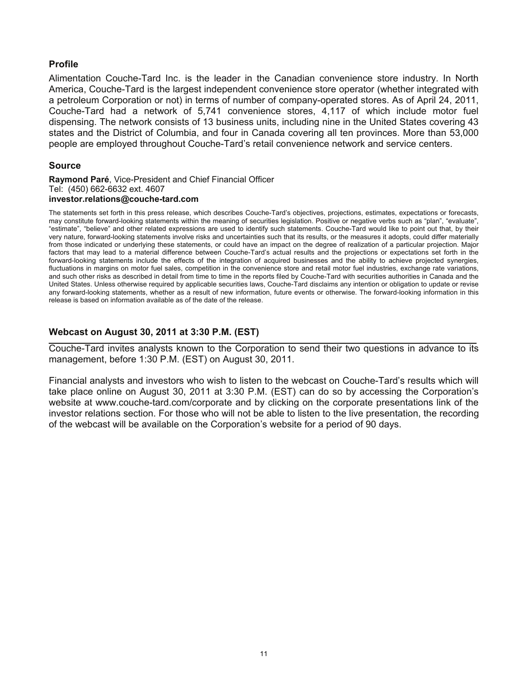# **Profile**

Alimentation Couche-Tard Inc. is the leader in the Canadian convenience store industry. In North America, Couche-Tard is the largest independent convenience store operator (whether integrated with a petroleum Corporation or not) in terms of number of company-operated stores. As of April 24, 2011, Couche-Tard had a network of 5,741 convenience stores, 4,117 of which include motor fuel dispensing. The network consists of 13 business units, including nine in the United States covering 43 states and the District of Columbia, and four in Canada covering all ten provinces. More than 53,000 people are employed throughout Couche-Tard's retail convenience network and service centers.

# **Source**

**Raymond Paré**, Vice-President and Chief Financial Officer Tel: (450) 662-6632 ext. 4607 **investor.relations@couche-tard.com** 

The statements set forth in this press release, which describes Couche-Tard's objectives, projections, estimates, expectations or forecasts, may constitute forward-looking statements within the meaning of securities legislation. Positive or negative verbs such as "plan", "evaluate", "estimate", "believe" and other related expressions are used to identify such statements. Couche-Tard would like to point out that, by their very nature, forward-looking statements involve risks and uncertainties such that its results, or the measures it adopts, could differ materially from those indicated or underlying these statements, or could have an impact on the degree of realization of a particular projection. Major factors that may lead to a material difference between Couche-Tard's actual results and the projections or expectations set forth in the forward-looking statements include the effects of the integration of acquired businesses and the ability to achieve projected synergies, fluctuations in margins on motor fuel sales, competition in the convenience store and retail motor fuel industries, exchange rate variations, and such other risks as described in detail from time to time in the reports filed by Couche-Tard with securities authorities in Canada and the United States. Unless otherwise required by applicable securities laws, Couche-Tard disclaims any intention or obligation to update or revise any forward-looking statements, whether as a result of new information, future events or otherwise. The forward-looking information in this release is based on information available as of the date of the release.

# **Webcast on August 30, 2011 at 3:30 P.M. (EST)**

Couche-Tard invites analysts known to the Corporation to send their two questions in advance to its management, before 1:30 P.M. (EST) on August 30, 2011.

Financial analysts and investors who wish to listen to the webcast on Couche-Tard's results which will take place online on August 30, 2011 at 3:30 P.M. (EST) can do so by accessing the Corporation's website at www.couche-tard.com/corporate and by clicking on the corporate presentations link of the investor relations section. For those who will not be able to listen to the live presentation, the recording of the webcast will be available on the Corporation's website for a period of 90 days.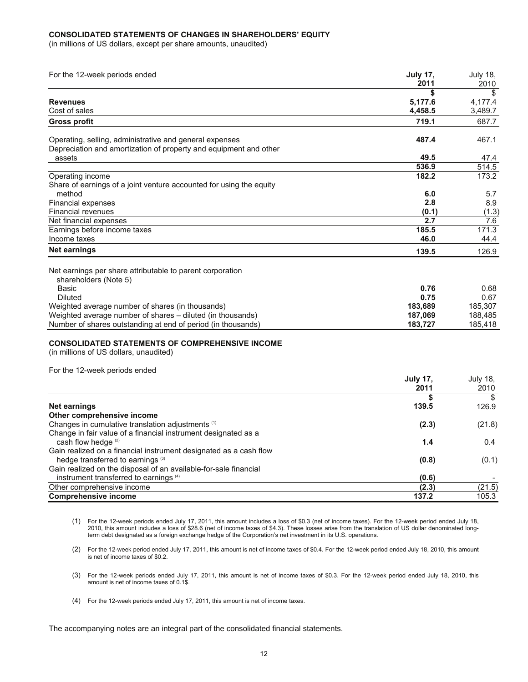#### **CONSOLIDATED STATEMENTS OF CHANGES IN SHAREHOLDERS' EQUITY**

(in millions of US dollars, except per share amounts, unaudited)

| For the 12-week periods ended                                                                                                | <b>July 17,</b> | July 18, |
|------------------------------------------------------------------------------------------------------------------------------|-----------------|----------|
|                                                                                                                              | 2011            | 2010     |
|                                                                                                                              |                 |          |
| <b>Revenues</b>                                                                                                              | 5,177.6         | 4.177.4  |
| Cost of sales                                                                                                                | 4.458.5         | 3,489.7  |
| <b>Gross profit</b>                                                                                                          | 719.1           | 687.7    |
| Operating, selling, administrative and general expenses<br>Depreciation and amortization of property and equipment and other | 487.4           | 467.1    |
| assets                                                                                                                       | 49.5            | 47.4     |
|                                                                                                                              | 536.9           | 514.5    |
| Operating income<br>Share of earnings of a joint venture accounted for using the equity                                      | 182.2           | 173.2    |
| method                                                                                                                       | 6.0             | 5.7      |
| Financial expenses                                                                                                           | 2.8             | 8.9      |
| <b>Financial revenues</b>                                                                                                    | (0.1)           | (1.3)    |
| Net financial expenses                                                                                                       | 2.7             | 7.6      |
| Earnings before income taxes                                                                                                 | 185.5           | 171.3    |
| Income taxes                                                                                                                 | 46.0            | 44.4     |
| Net earnings                                                                                                                 | 139.5           | 126.9    |
| Net earnings per share attributable to parent corporation<br>shareholders (Note 5)                                           |                 |          |
| Basic                                                                                                                        | 0.76            | 0.68     |
| <b>Diluted</b>                                                                                                               | 0.75            | 0.67     |
| Weighted average number of shares (in thousands)                                                                             | 183,689         | 185,307  |
| Weighted average number of shares - diluted (in thousands)                                                                   | 187,069         | 188,485  |
| Number of shares outstanding at end of period (in thousands)                                                                 | 183,727         | 185,418  |
| <b>CONSOLIDATED STATEMENTS OF COMPREHENSIVE INCOME</b><br>(in millions of US dollars, unaudited)                             |                 |          |

For the 12-week periods ended

|                                                                   | <b>July 17.</b> | July 18, |
|-------------------------------------------------------------------|-----------------|----------|
|                                                                   | 2011            | 2010     |
|                                                                   |                 | \$       |
| Net earnings                                                      | 139.5           | 126.9    |
| Other comprehensive income                                        |                 |          |
| Changes in cumulative translation adjustments (1)                 | (2.3)           | (21.8)   |
| Change in fair value of a financial instrument designated as a    |                 |          |
| cash flow hedge <sup>(2)</sup>                                    | 1.4             | 0.4      |
| Gain realized on a financial instrument designated as a cash flow |                 |          |
| hedge transferred to earnings (3)                                 | (0.8)           | (0.1)    |
| Gain realized on the disposal of an available-for-sale financial  |                 |          |
| instrument transferred to earnings (4)                            | (0.6)           |          |
| Other comprehensive income                                        | (2.3)           | (21.5)   |
| <b>Comprehensive income</b>                                       | 137.2           | 105.3    |

- (1) For the 12-week periods ended July 17, 2011, this amount includes a loss of \$0.3 (net of income taxes). For the 12-week period ended July 18, 2010, this amount includes a loss of \$28.6 (net of income taxes of \$4.3). These losses arise from the translation of US dollar denominated longterm debt designated as a foreign exchange hedge of the Corporation's net investment in its U.S. operations.
- (2) For the 12-week period ended July 17, 2011, this amount is net of income taxes of \$0.4. For the 12-week period ended July 18, 2010, this amount is net of income taxes of \$0.2.
- (3) For the 12-week periods ended July 17, 2011, this amount is net of income taxes of \$0.3. For the 12-week period ended July 18, 2010, this amount is net of income taxes of 0.1\$.
- (4) For the 12-week periods ended July 17, 2011, this amount is net of income taxes.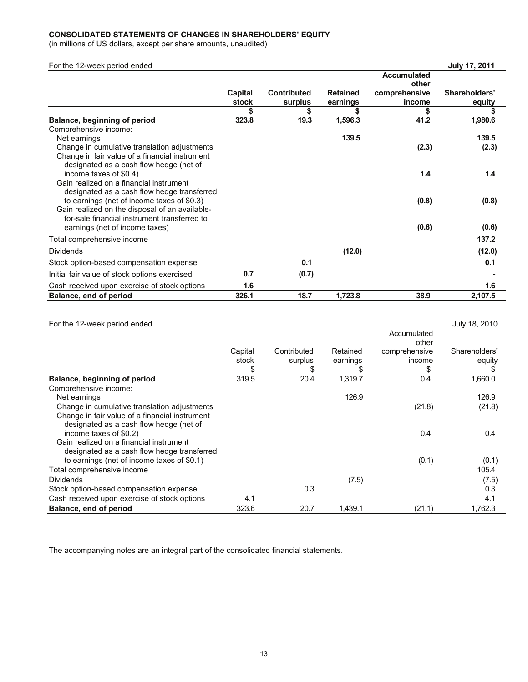# **CONSOLIDATED STATEMENTS OF CHANGES IN SHAREHOLDERS' EQUITY**

(in millions of US dollars, except per share amounts, unaudited)

| For the 12-week period ended                                                              |         |                    |                 |                    | <b>July 17, 2011</b> |
|-------------------------------------------------------------------------------------------|---------|--------------------|-----------------|--------------------|----------------------|
|                                                                                           |         |                    |                 | <b>Accumulated</b> |                      |
|                                                                                           |         |                    |                 | other              |                      |
|                                                                                           | Capital | <b>Contributed</b> | <b>Retained</b> | comprehensive      | Shareholders'        |
|                                                                                           | stock   | surplus            | earnings        | income             | equity               |
|                                                                                           | \$      | \$                 |                 | \$                 |                      |
| Balance, beginning of period                                                              | 323.8   | 19.3               | 1,596.3         | 41.2               | 1,980.6              |
| Comprehensive income:                                                                     |         |                    |                 |                    |                      |
| Net earnings                                                                              |         |                    | 139.5           |                    | 139.5                |
| Change in cumulative translation adjustments                                              |         |                    |                 | (2.3)              | (2.3)                |
| Change in fair value of a financial instrument<br>designated as a cash flow hedge (net of |         |                    |                 |                    |                      |
| income taxes of \$0.4)                                                                    |         |                    |                 | 1.4                | 1.4                  |
| Gain realized on a financial instrument                                                   |         |                    |                 |                    |                      |
| designated as a cash flow hedge transferred                                               |         |                    |                 |                    |                      |
| to earnings (net of income taxes of \$0.3)                                                |         |                    |                 | (0.8)              | (0.8)                |
| Gain realized on the disposal of an available-                                            |         |                    |                 |                    |                      |
| for-sale financial instrument transferred to                                              |         |                    |                 |                    |                      |
| earnings (net of income taxes)                                                            |         |                    |                 | (0.6)              | (0.6)                |
| Total comprehensive income                                                                |         |                    |                 |                    | 137.2                |
| <b>Dividends</b>                                                                          |         |                    | (12.0)          |                    | (12.0)               |
| Stock option-based compensation expense                                                   |         | 0.1                |                 |                    | 0.1                  |
| Initial fair value of stock options exercised                                             | 0.7     | (0.7)              |                 |                    |                      |
| Cash received upon exercise of stock options                                              | 1.6     |                    |                 |                    | 1.6                  |
| Balance, end of period                                                                    | 326.1   | 18.7               | 1,723.8         | 38.9               | 2,107.5              |

| For the 12-week period ended                   |         |             |          |               | July 18, 2010 |
|------------------------------------------------|---------|-------------|----------|---------------|---------------|
|                                                |         |             |          | Accumulated   |               |
|                                                |         |             |          | other         |               |
|                                                | Capital | Contributed | Retained | comprehensive | Shareholders' |
|                                                | stock   | surplus     | earnings | income        | equity        |
|                                                | \$      | \$          | \$       | \$            | \$            |
| Balance, beginning of period                   | 319.5   | 20.4        | 1,319.7  | 0.4           | 1,660.0       |
| Comprehensive income:                          |         |             |          |               |               |
| Net earnings                                   |         |             | 126.9    |               | 126.9         |
| Change in cumulative translation adjustments   |         |             |          | (21.8)        | (21.8)        |
| Change in fair value of a financial instrument |         |             |          |               |               |
| designated as a cash flow hedge (net of        |         |             |          |               |               |
| income taxes of \$0.2)                         |         |             |          | 0.4           | 0.4           |
| Gain realized on a financial instrument        |         |             |          |               |               |
| designated as a cash flow hedge transferred    |         |             |          |               |               |
| to earnings (net of income taxes of \$0.1)     |         |             |          | (0.1)         | (0.1)         |
| Total comprehensive income                     |         |             |          |               | 105.4         |
| <b>Dividends</b>                               |         |             | (7.5)    |               | (7.5)         |
| Stock option-based compensation expense        |         | 0.3         |          |               | 0.3           |
| Cash received upon exercise of stock options   | 4.1     |             |          |               | 4.1           |
| Balance, end of period                         | 323.6   | 20.7        | 1,439.1  | (21.1)        | 1,762.3       |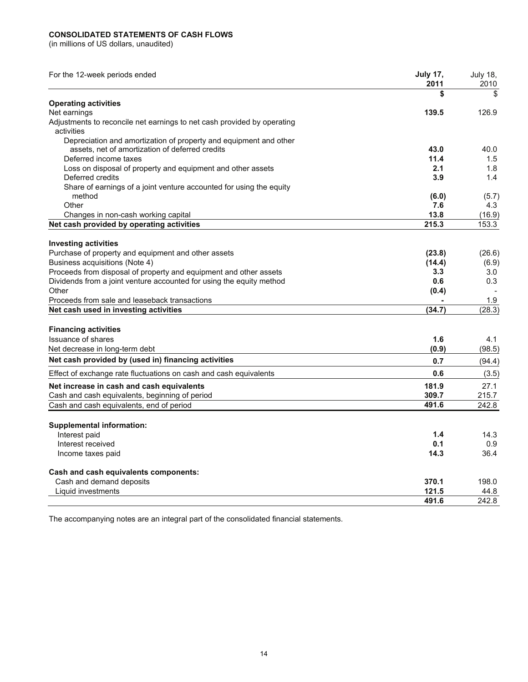#### **CONSOLIDATED STATEMENTS OF CASH FLOWS**

(in millions of US dollars, unaudited)

| For the 12-week periods ended                                                         | <b>July 17,</b><br>2011 | <b>July 18,</b><br>2010 |
|---------------------------------------------------------------------------------------|-------------------------|-------------------------|
|                                                                                       | \$                      | \$                      |
| <b>Operating activities</b>                                                           |                         |                         |
| Net earnings                                                                          | 139.5                   | 126.9                   |
| Adjustments to reconcile net earnings to net cash provided by operating<br>activities |                         |                         |
| Depreciation and amortization of property and equipment and other                     |                         |                         |
| assets, net of amortization of deferred credits                                       | 43.0                    | 40.0                    |
| Deferred income taxes                                                                 | 11.4                    | 1.5                     |
| Loss on disposal of property and equipment and other assets                           | 2.1                     | 1.8                     |
| Deferred credits                                                                      | 3.9                     | 1.4                     |
| Share of earnings of a joint venture accounted for using the equity                   |                         |                         |
| method                                                                                | (6.0)                   | (5.7)                   |
| Other                                                                                 | 7.6                     | 4.3                     |
| Changes in non-cash working capital                                                   | 13.8                    | (16.9)                  |
| Net cash provided by operating activities                                             | 215.3                   | 153.3                   |
| <b>Investing activities</b>                                                           |                         |                         |
| Purchase of property and equipment and other assets                                   | (23.8)                  | (26.6)                  |
| Business acquisitions (Note 4)                                                        | (14.4)                  | (6.9)                   |
| Proceeds from disposal of property and equipment and other assets                     | 3.3                     | 3.0                     |
| Dividends from a joint venture accounted for using the equity method                  | 0.6                     | 0.3                     |
| Other                                                                                 | (0.4)                   |                         |
| Proceeds from sale and leaseback transactions                                         |                         | 1.9                     |
| Net cash used in investing activities                                                 | (34.7)                  | (28.3)                  |
| <b>Financing activities</b>                                                           |                         |                         |
| <b>Issuance of shares</b>                                                             | 1.6                     | 4.1                     |
| Net decrease in long-term debt                                                        | (0.9)                   | (98.5)                  |
| Net cash provided by (used in) financing activities                                   | 0.7                     | (94.4)                  |
| Effect of exchange rate fluctuations on cash and cash equivalents                     | 0.6                     | (3.5)                   |
| Net increase in cash and cash equivalents                                             | 181.9                   | 27.1                    |
| Cash and cash equivalents, beginning of period                                        | 309.7                   | 215.7                   |
| Cash and cash equivalents, end of period                                              | 491.6                   | 242.8                   |
| <b>Supplemental information:</b>                                                      |                         |                         |
| Interest paid                                                                         | 1.4                     | 14.3                    |
| Interest received                                                                     | 0.1                     | 0.9                     |
| Income taxes paid                                                                     | 14.3                    | 36.4                    |
|                                                                                       |                         |                         |
| Cash and cash equivalents components:                                                 |                         |                         |
| Cash and demand deposits                                                              | 370.1                   | 198.0                   |
| Liquid investments                                                                    | 121.5                   | 44.8                    |
|                                                                                       | 491.6                   | 242.8                   |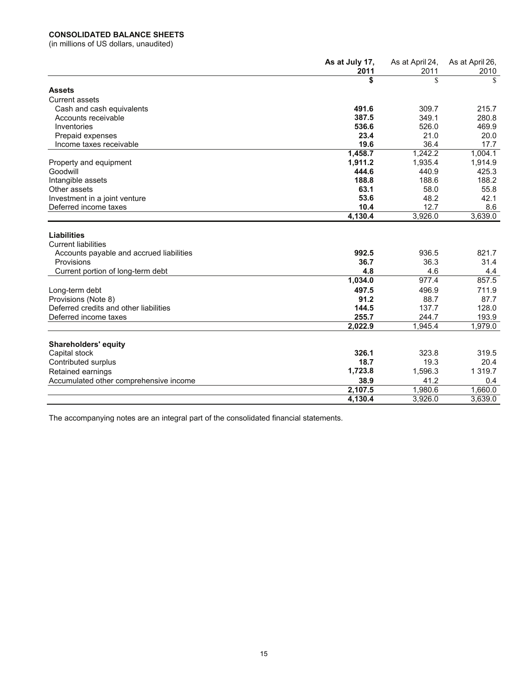# **CONSOLIDATED BALANCE SHEETS**

(in millions of US dollars, unaudited)

|                                                  | As at July 17,<br>2011 | As at April 24,<br>2011 | As at April 26,<br>2010 |
|--------------------------------------------------|------------------------|-------------------------|-------------------------|
|                                                  | \$                     | \$                      | \$                      |
| <b>Assets</b>                                    |                        |                         |                         |
| <b>Current assets</b>                            |                        |                         |                         |
| Cash and cash equivalents                        | 491.6                  | 309.7                   | 215.7                   |
| Accounts receivable                              | 387.5                  | 349.1                   | 280.8                   |
| Inventories                                      | 536.6                  | 526.0                   | 469.9                   |
| Prepaid expenses                                 | 23.4                   | 21.0                    | 20.0                    |
| Income taxes receivable                          | 19.6                   | 36.4                    | 17.7                    |
|                                                  | 1,458.7                | 1,242.2                 | 1,004.1                 |
| Property and equipment                           | 1,911.2                | 1,935.4                 | 1,914.9                 |
| Goodwill                                         | 444.6                  | 440.9                   | 425.3                   |
| Intangible assets                                | 188.8                  | 188.6                   | 188.2                   |
| Other assets                                     | 63.1                   | 58.0                    | 55.8                    |
| Investment in a joint venture                    | 53.6                   | 48.2                    | 42.1                    |
| Deferred income taxes                            | 10.4                   | 12.7                    | 8.6                     |
|                                                  | 4,130.4                | 3,926.0                 | 3,639.0                 |
| <b>Liabilities</b><br><b>Current liabilities</b> |                        |                         |                         |
| Accounts payable and accrued liabilities         | 992.5                  | 936.5                   | 821.7                   |
| Provisions                                       | 36.7                   | 36.3                    | 31.4                    |
| Current portion of long-term debt                | 4.8                    | 4.6                     | 4.4                     |
|                                                  | 1,034.0                | 977.4                   | 857.5                   |
| Long-term debt                                   | 497.5                  | 496.9                   | 711.9                   |
| Provisions (Note 8)                              | 91.2                   | 88.7                    | 87.7                    |
| Deferred credits and other liabilities           | 144.5                  | 137.7                   | 128.0                   |
| Deferred income taxes                            | 255.7                  | 244.7                   | 193.9                   |
|                                                  | 2,022.9                | 1,945.4                 | 1,979.0                 |
| <b>Shareholders' equity</b>                      |                        |                         |                         |
| Capital stock                                    | 326.1                  | 323.8                   | 319.5                   |
| Contributed surplus                              | 18.7                   | 19.3                    | 20.4                    |
| Retained earnings                                | 1,723.8                | 1,596.3                 | 1 3 1 9.7               |
| Accumulated other comprehensive income           | 38.9                   | 41.2                    | 0.4                     |
|                                                  | 2,107.5                | 1,980.6                 | 1,660.0                 |
|                                                  | 4,130.4                | 3,926.0                 | 3,639.0                 |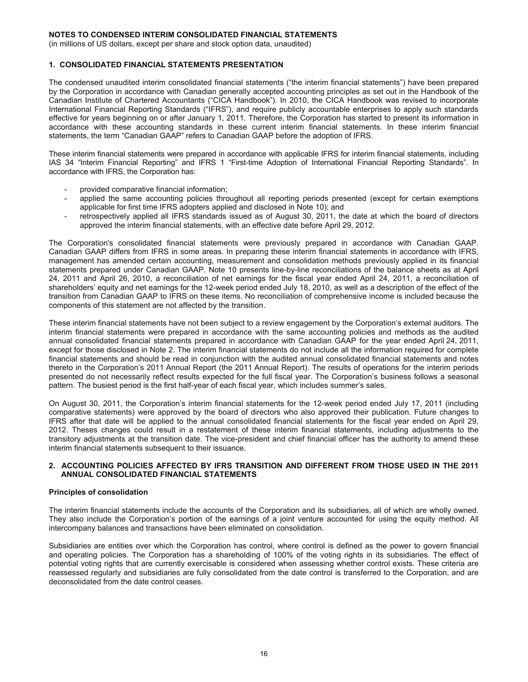(in millions of US dollars, except per share and stock option data, unaudited)

#### **1. CONSOLIDATED FINANCIAL STATEMENTS PRESENTATION**

The condensed unaudited interim consolidated financial statements ("the interim financial statements") have been prepared by the Corporation in accordance with Canadian generally accepted accounting principles as set out in the Handbook of the Canadian Institute of Chartered Accountants ("CICA Handbook"). In 2010, the CICA Handbook was revised to incorporate International Financial Reporting Standards ("IFRS"), and require publicly accountable enterprises to apply such standards effective for years beginning on or after January 1, 2011. Therefore, the Corporation has started to present its information in accordance with these accounting standards in these current interim financial statements. In these interim financial statements, the term "Canadian GAAP" refers to Canadian GAAP before the adoption of IFRS.

These interim financial statements were prepared in accordance with applicable IFRS for interim financial statements, including IAS 34 "Interim Financial Reporting" and IFRS 1 "First-time Adoption of International Financial Reporting Standards". In accordance with IFRS, the Corporation has:

- provided comparative financial information;
- applied the same accounting policies throughout all reporting periods presented (except for certain exemptions applicable for first time IFRS adopters applied and disclosed in Note 10); and
- retrospectively applied all IFRS standards issued as of August 30, 2011, the date at which the board of directors approved the interim financial statements, with an effective date before April 29, 2012.

The Corporation's consolidated financial statements were previously prepared in accordance with Canadian GAAP. Canadian GAAP differs from IFRS in some areas. In preparing these interim financial statements in accordance with IFRS, management has amended certain accounting, measurement and consolidation methods previously applied in its financial statements prepared under Canadian GAAP. Note 10 presents line-by-line reconciliations of the balance sheets as at April 24, 2011 and April 26, 2010, a reconciliation of net earnings for the fiscal year ended April 24, 2011, a reconciliation of shareholders' equity and net earnings for the 12-week period ended July 18, 2010, as well as a description of the effect of the transition from Canadian GAAP to IFRS on these items. No reconciliation of comprehensive income is included because the components of this statement are not affected by the transition.

These interim financial statements have not been subject to a review engagement by the Corporation's external auditors. The interim financial statements were prepared in accordance with the same accounting policies and methods as the audited annual consolidated financial statements prepared in accordance with Canadian GAAP for the year ended April 24, 2011, except for those disclosed in Note 2. The interim financial statements do not include all the information required for complete financial statements and should be read in conjunction with the audited annual consolidated financial statements and notes thereto in the Corporation's 2011 Annual Report (the 2011 Annual Report). The results of operations for the interim periods presented do not necessarily reflect results expected for the full fiscal year. The Corporation's business follows a seasonal pattern. The busiest period is the first half-year of each fiscal year, which includes summer's sales.

On August 30, 2011, the Corporation's interim financial statements for the 12-week period ended July 17, 2011 (including comparative statements) were approved by the board of directors who also approved their publication. Future changes to IFRS after that date will be applied to the annual consolidated financial statements for the fiscal year ended on April 29, 2012. Theses changes could result in a restatement of these interim financial statements, including adjustments to the transitory adjustments at the transition date. The vice-president and chief financial officer has the authority to amend these interim financial statements subsequent to their issuance.

#### **2. ACCOUNTING POLICIES AFFECTED BY IFRS TRANSITION AND DIFFERENT FROM THOSE USED IN THE 2011 ANNUAL CONSOLIDATED FINANCIAL STATEMENTS**

#### **Principles of consolidation**

The interim financial statements include the accounts of the Corporation and its subsidiaries, all of which are wholly owned. They also include the Corporation's portion of the earnings of a joint venture accounted for using the equity method. All intercompany balances and transactions have been eliminated on consolidation.

Subsidiaries are entities over which the Corporation has control, where control is defined as the power to govern financial and operating policies. The Corporation has a shareholding of 100% of the voting rights in its subsidiaries. The effect of potential voting rights that are currently exercisable is considered when assessing whether control exists. These criteria are reassessed regularly and subsidiaries are fully consolidated from the date control is transferred to the Corporation, and are deconsolidated from the date control ceases.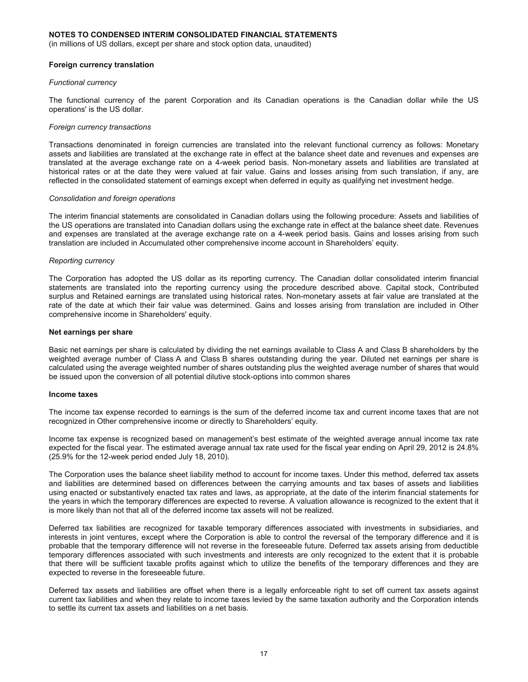(in millions of US dollars, except per share and stock option data, unaudited)

#### **Foreign currency translation**

#### *Functional currency*

The functional currency of the parent Corporation and its Canadian operations is the Canadian dollar while the US operations' is the US dollar.

#### *Foreign currency transactions*

Transactions denominated in foreign currencies are translated into the relevant functional currency as follows: Monetary assets and liabilities are translated at the exchange rate in effect at the balance sheet date and revenues and expenses are translated at the average exchange rate on a 4-week period basis. Non-monetary assets and liabilities are translated at historical rates or at the date they were valued at fair value. Gains and losses arising from such translation, if any, are reflected in the consolidated statement of earnings except when deferred in equity as qualifying net investment hedge.

#### *Consolidation and foreign operations*

The interim financial statements are consolidated in Canadian dollars using the following procedure: Assets and liabilities of the US operations are translated into Canadian dollars using the exchange rate in effect at the balance sheet date. Revenues and expenses are translated at the average exchange rate on a 4-week period basis. Gains and losses arising from such translation are included in Accumulated other comprehensive income account in Shareholders' equity.

#### *Reporting currency*

The Corporation has adopted the US dollar as its reporting currency. The Canadian dollar consolidated interim financial statements are translated into the reporting currency using the procedure described above. Capital stock, Contributed surplus and Retained earnings are translated using historical rates. Non-monetary assets at fair value are translated at the rate of the date at which their fair value was determined. Gains and losses arising from translation are included in Other comprehensive income in Shareholders' equity.

#### **Net earnings per share**

Basic net earnings per share is calculated by dividing the net earnings available to Class A and Class B shareholders by the weighted average number of Class A and Class B shares outstanding during the year. Diluted net earnings per share is calculated using the average weighted number of shares outstanding plus the weighted average number of shares that would be issued upon the conversion of all potential dilutive stock-options into common shares

#### **Income taxes**

The income tax expense recorded to earnings is the sum of the deferred income tax and current income taxes that are not recognized in Other comprehensive income or directly to Shareholders' equity.

Income tax expense is recognized based on management's best estimate of the weighted average annual income tax rate expected for the fiscal year. The estimated average annual tax rate used for the fiscal year ending on April 29, 2012 is 24.8% (25.9% for the 12-week period ended July 18, 2010).

The Corporation uses the balance sheet liability method to account for income taxes. Under this method, deferred tax assets and liabilities are determined based on differences between the carrying amounts and tax bases of assets and liabilities using enacted or substantively enacted tax rates and laws, as appropriate, at the date of the interim financial statements for the years in which the temporary differences are expected to reverse. A valuation allowance is recognized to the extent that it is more likely than not that all of the deferred income tax assets will not be realized.

Deferred tax liabilities are recognized for taxable temporary differences associated with investments in subsidiaries, and interests in joint ventures, except where the Corporation is able to control the reversal of the temporary difference and it is probable that the temporary difference will not reverse in the foreseeable future. Deferred tax assets arising from deductible temporary differences associated with such investments and interests are only recognized to the extent that it is probable that there will be sufficient taxable profits against which to utilize the benefits of the temporary differences and they are expected to reverse in the foreseeable future.

Deferred tax assets and liabilities are offset when there is a legally enforceable right to set off current tax assets against current tax liabilities and when they relate to income taxes levied by the same taxation authority and the Corporation intends to settle its current tax assets and liabilities on a net basis.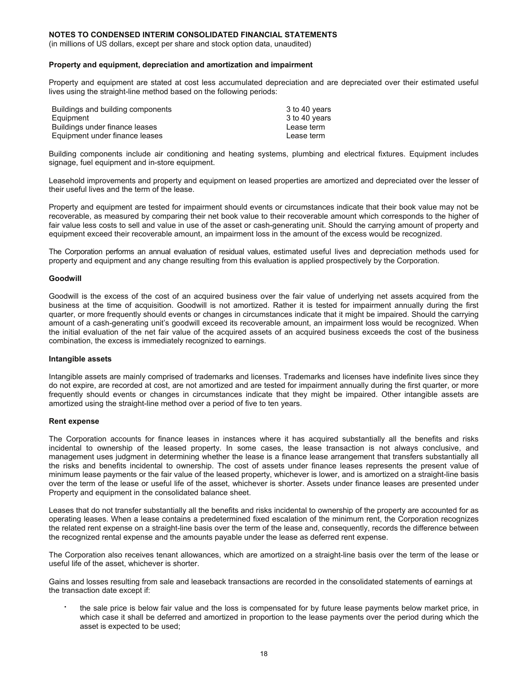(in millions of US dollars, except per share and stock option data, unaudited)

#### **Property and equipment, depreciation and amortization and impairment**

Property and equipment are stated at cost less accumulated depreciation and are depreciated over their estimated useful lives using the straight-line method based on the following periods:

| Buildings and building components | 3 to 40 years |
|-----------------------------------|---------------|
| Equipment                         | 3 to 40 years |
| Buildings under finance leases    | Lease term    |
| Equipment under finance leases    | Lease term    |

Building components include air conditioning and heating systems, plumbing and electrical fixtures. Equipment includes signage, fuel equipment and in-store equipment.

Leasehold improvements and property and equipment on leased properties are amortized and depreciated over the lesser of their useful lives and the term of the lease.

Property and equipment are tested for impairment should events or circumstances indicate that their book value may not be recoverable, as measured by comparing their net book value to their recoverable amount which corresponds to the higher of fair value less costs to sell and value in use of the asset or cash-generating unit. Should the carrying amount of property and equipment exceed their recoverable amount, an impairment loss in the amount of the excess would be recognized.

The Corporation performs an annual evaluation of residual values, estimated useful lives and depreciation methods used for property and equipment and any change resulting from this evaluation is applied prospectively by the Corporation.

#### **Goodwill**

Goodwill is the excess of the cost of an acquired business over the fair value of underlying net assets acquired from the business at the time of acquisition. Goodwill is not amortized. Rather it is tested for impairment annually during the first quarter, or more frequently should events or changes in circumstances indicate that it might be impaired. Should the carrying amount of a cash-generating unit's goodwill exceed its recoverable amount, an impairment loss would be recognized. When the initial evaluation of the net fair value of the acquired assets of an acquired business exceeds the cost of the business combination, the excess is immediately recognized to earnings.

#### **Intangible assets**

Intangible assets are mainly comprised of trademarks and licenses. Trademarks and licenses have indefinite lives since they do not expire, are recorded at cost, are not amortized and are tested for impairment annually during the first quarter, or more frequently should events or changes in circumstances indicate that they might be impaired. Other intangible assets are amortized using the straight-line method over a period of five to ten years.

#### **Rent expense**

The Corporation accounts for finance leases in instances where it has acquired substantially all the benefits and risks incidental to ownership of the leased property. In some cases, the lease transaction is not always conclusive, and management uses judgment in determining whether the lease is a finance lease arrangement that transfers substantially all the risks and benefits incidental to ownership. The cost of assets under finance leases represents the present value of minimum lease payments or the fair value of the leased property, whichever is lower, and is amortized on a straight-line basis over the term of the lease or useful life of the asset, whichever is shorter. Assets under finance leases are presented under Property and equipment in the consolidated balance sheet.

Leases that do not transfer substantially all the benefits and risks incidental to ownership of the property are accounted for as operating leases. When a lease contains a predetermined fixed escalation of the minimum rent, the Corporation recognizes the related rent expense on a straight-line basis over the term of the lease and, consequently, records the difference between the recognized rental expense and the amounts payable under the lease as deferred rent expense.

The Corporation also receives tenant allowances, which are amortized on a straight-line basis over the term of the lease or useful life of the asset, whichever is shorter.

Gains and losses resulting from sale and leaseback transactions are recorded in the consolidated statements of earnings at the transaction date except if:

 the sale price is below fair value and the loss is compensated for by future lease payments below market price, in which case it shall be deferred and amortized in proportion to the lease payments over the period during which the asset is expected to be used;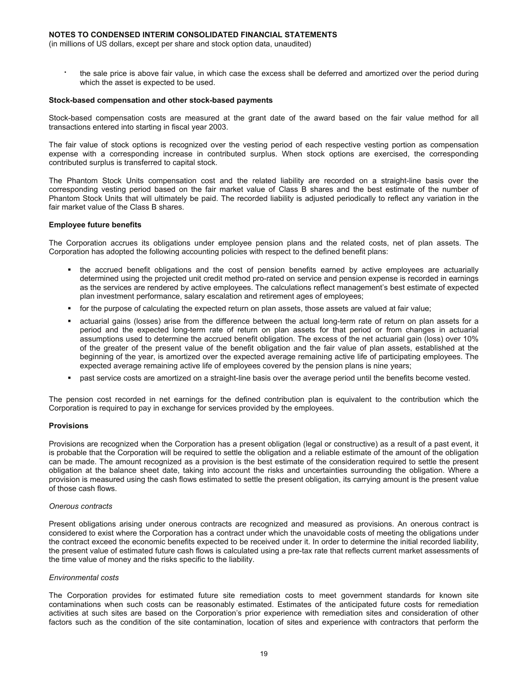(in millions of US dollars, except per share and stock option data, unaudited)

 the sale price is above fair value, in which case the excess shall be deferred and amortized over the period during which the asset is expected to be used.

#### **Stock-based compensation and other stock-based payments**

Stock-based compensation costs are measured at the grant date of the award based on the fair value method for all transactions entered into starting in fiscal year 2003.

The fair value of stock options is recognized over the vesting period of each respective vesting portion as compensation expense with a corresponding increase in contributed surplus. When stock options are exercised, the corresponding contributed surplus is transferred to capital stock.

The Phantom Stock Units compensation cost and the related liability are recorded on a straight-line basis over the corresponding vesting period based on the fair market value of Class B shares and the best estimate of the number of Phantom Stock Units that will ultimately be paid. The recorded liability is adjusted periodically to reflect any variation in the fair market value of the Class B shares.

#### **Employee future benefits**

The Corporation accrues its obligations under employee pension plans and the related costs, net of plan assets. The Corporation has adopted the following accounting policies with respect to the defined benefit plans:

- the accrued benefit obligations and the cost of pension benefits earned by active employees are actuarially determined using the projected unit credit method pro-rated on service and pension expense is recorded in earnings as the services are rendered by active employees. The calculations reflect management's best estimate of expected plan investment performance, salary escalation and retirement ages of employees;
- for the purpose of calculating the expected return on plan assets, those assets are valued at fair value;
- actuarial gains (losses) arise from the difference between the actual long-term rate of return on plan assets for a period and the expected long-term rate of return on plan assets for that period or from changes in actuarial assumptions used to determine the accrued benefit obligation. The excess of the net actuarial gain (loss) over 10% of the greater of the present value of the benefit obligation and the fair value of plan assets, established at the beginning of the year, is amortized over the expected average remaining active life of participating employees. The expected average remaining active life of employees covered by the pension plans is nine years;
- past service costs are amortized on a straight-line basis over the average period until the benefits become vested.

The pension cost recorded in net earnings for the defined contribution plan is equivalent to the contribution which the Corporation is required to pay in exchange for services provided by the employees.

#### **Provisions**

Provisions are recognized when the Corporation has a present obligation (legal or constructive) as a result of a past event, it is probable that the Corporation will be required to settle the obligation and a reliable estimate of the amount of the obligation can be made. The amount recognized as a provision is the best estimate of the consideration required to settle the present obligation at the balance sheet date, taking into account the risks and uncertainties surrounding the obligation. Where a provision is measured using the cash flows estimated to settle the present obligation, its carrying amount is the present value of those cash flows.

#### *Onerous contracts*

Present obligations arising under onerous contracts are recognized and measured as provisions. An onerous contract is considered to exist where the Corporation has a contract under which the unavoidable costs of meeting the obligations under the contract exceed the economic benefits expected to be received under it. In order to determine the initial recorded liability, the present value of estimated future cash flows is calculated using a pre-tax rate that reflects current market assessments of the time value of money and the risks specific to the liability.

#### *Environmental costs*

The Corporation provides for estimated future site remediation costs to meet government standards for known site contaminations when such costs can be reasonably estimated. Estimates of the anticipated future costs for remediation activities at such sites are based on the Corporation's prior experience with remediation sites and consideration of other factors such as the condition of the site contamination, location of sites and experience with contractors that perform the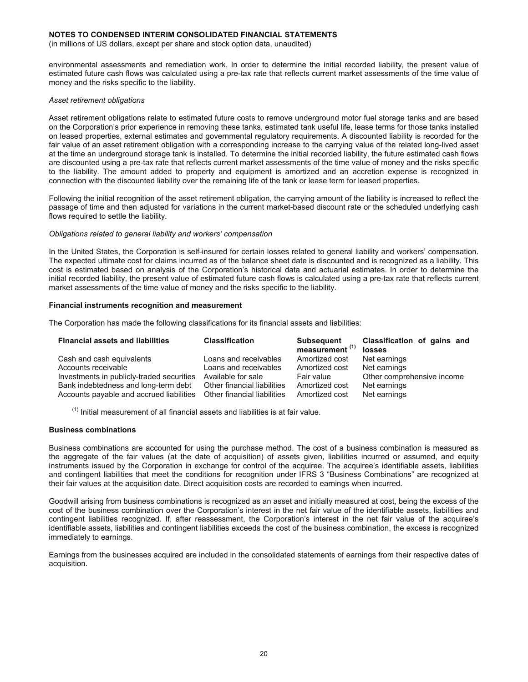(in millions of US dollars, except per share and stock option data, unaudited)

environmental assessments and remediation work. In order to determine the initial recorded liability, the present value of estimated future cash flows was calculated using a pre-tax rate that reflects current market assessments of the time value of money and the risks specific to the liability.

#### *Asset retirement obligations*

Asset retirement obligations relate to estimated future costs to remove underground motor fuel storage tanks and are based on the Corporation's prior experience in removing these tanks, estimated tank useful life, lease terms for those tanks installed on leased properties, external estimates and governmental regulatory requirements. A discounted liability is recorded for the fair value of an asset retirement obligation with a corresponding increase to the carrying value of the related long-lived asset at the time an underground storage tank is installed. To determine the initial recorded liability, the future estimated cash flows are discounted using a pre-tax rate that reflects current market assessments of the time value of money and the risks specific to the liability. The amount added to property and equipment is amortized and an accretion expense is recognized in connection with the discounted liability over the remaining life of the tank or lease term for leased properties.

Following the initial recognition of the asset retirement obligation, the carrying amount of the liability is increased to reflect the passage of time and then adjusted for variations in the current market-based discount rate or the scheduled underlying cash flows required to settle the liability.

#### *Obligations related to general liability and workers' compensation*

In the United States, the Corporation is self-insured for certain losses related to general liability and workers' compensation. The expected ultimate cost for claims incurred as of the balance sheet date is discounted and is recognized as a liability. This cost is estimated based on analysis of the Corporation's historical data and actuarial estimates. In order to determine the initial recorded liability, the present value of estimated future cash flows is calculated using a pre-tax rate that reflects current market assessments of the time value of money and the risks specific to the liability.

#### **Financial instruments recognition and measurement**

The Corporation has made the following classifications for its financial assets and liabilities:

| <b>Financial assets and liabilities</b>   | <b>Classification</b>       | <b>Subsequent</b><br>measurement <sup>(1)</sup> | Classification of gains and<br>losses |
|-------------------------------------------|-----------------------------|-------------------------------------------------|---------------------------------------|
| Cash and cash equivalents                 | Loans and receivables       | Amortized cost                                  | Net earnings                          |
| Accounts receivable                       | Loans and receivables       | Amortized cost                                  | Net earnings                          |
| Investments in publicly-traded securities | Available for sale          | Fair value                                      | Other comprehensive income            |
| Bank indebtedness and long-term debt      | Other financial liabilities | Amortized cost                                  | Net earnings                          |
| Accounts payable and accrued liabilities  | Other financial liabilities | Amortized cost                                  | Net earnings                          |

 $<sup>(1)</sup>$  Initial measurement of all financial assets and liabilities is at fair value.</sup>

#### **Business combinations**

Business combinations are accounted for using the purchase method. The cost of a business combination is measured as the aggregate of the fair values (at the date of acquisition) of assets given, liabilities incurred or assumed, and equity instruments issued by the Corporation in exchange for control of the acquiree. The acquiree's identifiable assets, liabilities and contingent liabilities that meet the conditions for recognition under IFRS 3 "Business Combinations" are recognized at their fair values at the acquisition date. Direct acquisition costs are recorded to earnings when incurred.

Goodwill arising from business combinations is recognized as an asset and initially measured at cost, being the excess of the cost of the business combination over the Corporation's interest in the net fair value of the identifiable assets, liabilities and contingent liabilities recognized. If, after reassessment, the Corporation's interest in the net fair value of the acquiree's identifiable assets, liabilities and contingent liabilities exceeds the cost of the business combination, the excess is recognized immediately to earnings.

Earnings from the businesses acquired are included in the consolidated statements of earnings from their respective dates of acquisition.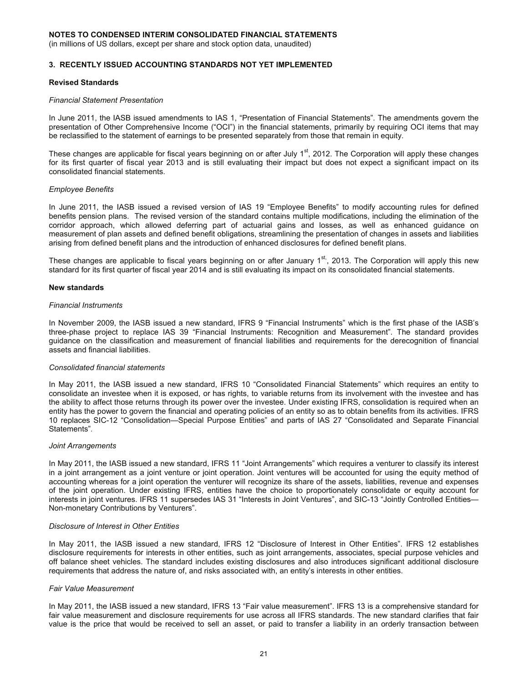(in millions of US dollars, except per share and stock option data, unaudited)

#### **3. RECENTLY ISSUED ACCOUNTING STANDARDS NOT YET IMPLEMENTED**

#### **Revised Standards**

#### *Financial Statement Presentation*

In June 2011, the IASB issued amendments to IAS 1, "Presentation of Financial Statements". The amendments govern the presentation of Other Comprehensive Income ("OCI") in the financial statements, primarily by requiring OCI items that may be reclassified to the statement of earnings to be presented separately from those that remain in equity.

These changes are applicable for fiscal years beginning on or after July  $1<sup>st</sup>$ , 2012. The Corporation will apply these changes for its first quarter of fiscal year 2013 and is still evaluating their impact but does not expect a significant impact on its consolidated financial statements.

#### *Employee Benefits*

In June 2011, the IASB issued a revised version of IAS 19 "Employee Benefits" to modify accounting rules for defined benefits pension plans. The revised version of the standard contains multiple modifications, including the elimination of the corridor approach, which allowed deferring part of actuarial gains and losses, as well as enhanced guidance on measurement of plan assets and defined benefit obligations, streamlining the presentation of changes in assets and liabilities arising from defined benefit plans and the introduction of enhanced disclosures for defined benefit plans.

These changes are applicable to fiscal years beginning on or after January 1<sup>st</sup>, 2013. The Corporation will apply this new standard for its first quarter of fiscal year 2014 and is still evaluating its impact on its consolidated financial statements.

#### **New standards**

#### *Financial Instruments*

In November 2009, the IASB issued a new standard, IFRS 9 "Financial Instruments" which is the first phase of the IASB's three-phase project to replace IAS 39 "Financial Instruments: Recognition and Measurement". The standard provides guidance on the classification and measurement of financial liabilities and requirements for the derecognition of financial assets and financial liabilities.

#### *Consolidated financial statements*

In May 2011, the IASB issued a new standard, IFRS 10 "Consolidated Financial Statements" which requires an entity to consolidate an investee when it is exposed, or has rights, to variable returns from its involvement with the investee and has the ability to affect those returns through its power over the investee. Under existing IFRS, consolidation is required when an entity has the power to govern the financial and operating policies of an entity so as to obtain benefits from its activities. IFRS 10 replaces SIC-12 "Consolidation—Special Purpose Entities" and parts of IAS 27 "Consolidated and Separate Financial Statements".

#### *Joint Arrangements*

In May 2011, the IASB issued a new standard, IFRS 11 "Joint Arrangements" which requires a venturer to classify its interest in a joint arrangement as a joint venture or joint operation. Joint ventures will be accounted for using the equity method of accounting whereas for a joint operation the venturer will recognize its share of the assets, liabilities, revenue and expenses of the joint operation. Under existing IFRS, entities have the choice to proportionately consolidate or equity account for interests in joint ventures. IFRS 11 supersedes IAS 31 "Interests in Joint Ventures", and SIC-13 "Jointly Controlled Entities— Non-monetary Contributions by Venturers".

#### *Disclosure of Interest in Other Entities*

In May 2011, the IASB issued a new standard, IFRS 12 "Disclosure of Interest in Other Entities". IFRS 12 establishes disclosure requirements for interests in other entities, such as joint arrangements, associates, special purpose vehicles and off balance sheet vehicles. The standard includes existing disclosures and also introduces significant additional disclosure requirements that address the nature of, and risks associated with, an entity's interests in other entities.

#### *Fair Value Measurement*

In May 2011, the IASB issued a new standard, IFRS 13 "Fair value measurement". IFRS 13 is a comprehensive standard for fair value measurement and disclosure requirements for use across all IFRS standards. The new standard clarifies that fair value is the price that would be received to sell an asset, or paid to transfer a liability in an orderly transaction between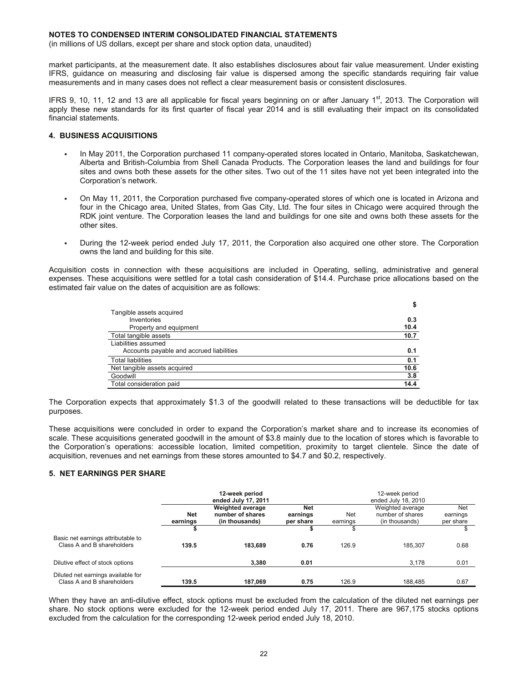(in millions of US dollars, except per share and stock option data, unaudited)

market participants, at the measurement date. It also establishes disclosures about fair value measurement. Under existing IFRS, guidance on measuring and disclosing fair value is dispersed among the specific standards requiring fair value measurements and in many cases does not reflect a clear measurement basis or consistent disclosures.

IFRS 9, 10, 11, 12 and 13 are all applicable for fiscal years beginning on or after January  $1<sup>st</sup>$ , 2013. The Corporation will apply these new standards for its first quarter of fiscal year 2014 and is still evaluating their impact on its consolidated financial statements.

#### **4. BUSINESS ACQUISITIONS**

- In May 2011, the Corporation purchased 11 company-operated stores located in Ontario, Manitoba, Saskatchewan, Alberta and British-Columbia from Shell Canada Products. The Corporation leases the land and buildings for four sites and owns both these assets for the other sites. Two out of the 11 sites have not yet been integrated into the Corporation's network.
- On May 11, 2011, the Corporation purchased five company-operated stores of which one is located in Arizona and four in the Chicago area, United States, from Gas City, Ltd. The four sites in Chicago were acquired through the RDK joint venture. The Corporation leases the land and buildings for one site and owns both these assets for the other sites.
- During the 12-week period ended July 17, 2011, the Corporation also acquired one other store. The Corporation owns the land and building for this site.

Acquisition costs in connection with these acquisitions are included in Operating, selling, administrative and general expenses. These acquisitions were settled for a total cash consideration of \$14.4. Purchase price allocations based on the estimated fair value on the dates of acquisition are as follows:

|                                          | \$   |
|------------------------------------------|------|
| Tangible assets acquired                 |      |
| Inventories                              | 0.3  |
| Property and equipment                   | 10.4 |
| Total tangible assets                    | 10.7 |
| Liabilities assumed                      |      |
| Accounts payable and accrued liabilities | 0.1  |
| <b>Total liabilities</b>                 | 0.1  |
| Net tangible assets acquired             | 10.6 |
| Goodwill                                 | 3.8  |
| Total consideration paid                 | 14.4 |

The Corporation expects that approximately \$1.3 of the goodwill related to these transactions will be deductible for tax purposes.

These acquisitions were concluded in order to expand the Corporation's market share and to increase its economies of scale. These acquisitions generated goodwill in the amount of \$3.8 mainly due to the location of stores which is favorable to the Corporation's operations: accessible location, limited competition, proximity to target clientele. Since the date of acquisition, revenues and net earnings from these stores amounted to \$4.7 and \$0.2, respectively.

#### **5. NET EARNINGS PER SHARE**

|                                                                  |                        | 12-week period<br>ended July 17, 2011                         |                                     |                        | 12-week period<br>ended July 18, 2010                  |                              |
|------------------------------------------------------------------|------------------------|---------------------------------------------------------------|-------------------------------------|------------------------|--------------------------------------------------------|------------------------------|
|                                                                  | <b>Net</b><br>earnings | <b>Weighted average</b><br>number of shares<br>(in thousands) | <b>Net</b><br>earnings<br>per share | <b>Net</b><br>earnings | Weighted average<br>number of shares<br>(in thousands) | Net<br>earnings<br>per share |
|                                                                  |                        |                                                               | ъ                                   | S                      |                                                        | \$                           |
| Basic net earnings attributable to<br>Class A and B shareholders | 139.5                  | 183.689                                                       | 0.76                                | 126.9                  | 185.307                                                | 0.68                         |
| Dilutive effect of stock options                                 |                        | 3.380                                                         | 0.01                                |                        | 3.178                                                  | 0.01                         |
| Diluted net earnings available for<br>Class A and B shareholders | 139.5                  | 187,069                                                       | 0.75                                | 126.9                  | 188.485                                                | 0.67                         |

When they have an anti-dilutive effect, stock options must be excluded from the calculation of the diluted net earnings per share. No stock options were excluded for the 12-week period ended July 17, 2011. There are 967,175 stocks options excluded from the calculation for the corresponding 12-week period ended July 18, 2010.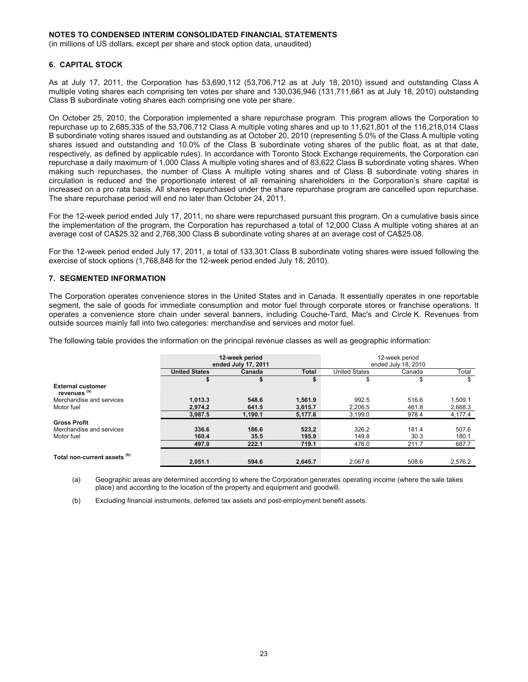(in millions of US dollars, except per share and stock option data, unaudited)

#### **6. CAPITAL STOCK**

As at July 17, 2011, the Corporation has 53,690,112 (53,706,712 as at July 18, 2010) issued and outstanding Class A multiple voting shares each comprising ten votes per share and 130,036,946 (131,711,661 as at July 18, 2010) outstanding Class B subordinate voting shares each comprising one vote per share.

On October 25, 2010, the Corporation implemented a share repurchase program. This program allows the Corporation to repurchase up to 2,685,335 of the 53,706,712 Class A multiple voting shares and up to 11,621,801 of the 116,218,014 Class B subordinate voting shares issued and outstanding as at October 20, 2010 (representing 5.0% of the Class A multiple voting shares issued and outstanding and 10.0% of the Class B subordinate voting shares of the public float, as at that date, respectively, as defined by applicable rules). In accordance with Toronto Stock Exchange requirements, the Corporation can repurchase a daily maximum of 1,000 Class A multiple voting shares and of 83,622 Class B subordinate voting shares. When making such repurchases, the number of Class A multiple voting shares and of Class B subordinate voting shares in circulation is reduced and the proportionate interest of all remaining shareholders in the Corporation's share capital is increased on a pro rata basis. All shares repurchased under the share repurchase program are cancelled upon repurchase. The share repurchase period will end no later than October 24, 2011.

For the 12-week period ended July 17, 2011, no share were repurchased pursuant this program. On a cumulative basis since the implementation of the program, the Corporation has repurchased a total of 12,000 Class A multiple voting shares at an average cost of CA\$25.32 and 2,768,300 Class B subordinate voting shares at an average cost of CA\$25.08.

For the 12-week period ended July 17, 2011, a total of 133,301 Class B subordinate voting shares were issued following the exercise of stock options (1,768,848 for the 12-week period ended July 18, 2010).

#### **7. SEGMENTED INFORMATION**

The Corporation operates convenience stores in the United States and in Canada. It essentially operates in one reportable segment, the sale of goods for immediate consumption and motor fuel through corporate stores or franchise operations. It operates a convenience store chain under several banners, including Couche-Tard, Mac's and Circle K. Revenues from outside sources mainly fall into two categories: merchandise and services and motor fuel.

The following table provides the information on the principal revenue classes as well as geographic information:

|                                          |                      | 12-week period<br>ended July 17, 2011 |         |                      | 12-week period<br>ended July 18, 2010 |         |
|------------------------------------------|----------------------|---------------------------------------|---------|----------------------|---------------------------------------|---------|
|                                          | <b>United States</b> | Canada                                | Total   | <b>United States</b> | Canada                                | Total   |
|                                          |                      |                                       | \$      | \$                   | \$                                    | \$      |
| <b>External customer</b><br>revenues (a) |                      |                                       |         |                      |                                       |         |
| Merchandise and services                 | 1,013.3              | 548.6                                 | 1.561.9 | 992.5                | 516.6                                 | 1.509.1 |
| Motor fuel                               | 2.974.2              | 641.5                                 | 3.615.7 | 2.206.5              | 461.8                                 | 2,668.3 |
|                                          | 3.987.5              | 1,190.1                               | 5,177.6 | 3,199.0              | 978.4                                 | 4,177.4 |
| <b>Gross Profit</b>                      |                      |                                       |         |                      |                                       |         |
| Merchandise and services                 | 336.6                | 186.6                                 | 523,2   | 326.2                | 181.4                                 | 507.6   |
| Motor fuel                               | 160.4                | 35.5                                  | 195.9   | 149.8                | 30.3                                  | 180.1   |
|                                          | 497.0                | 222.1                                 | 719.1   | 476.0                | 211.7                                 | 687.7   |
| Total non-current assets <sup>(b)</sup>  | 2.051.1              | 594.6                                 | 2.645.7 | 2.067.6              | 508.6                                 | 2.576.2 |

(a) Geographic areas are determined according to where the Corporation generates operating income (where the sale takes place) and according to the location of the property and equipment and goodwill.

(b) Excluding financial instruments, deferred tax assets and post-employment benefit assets.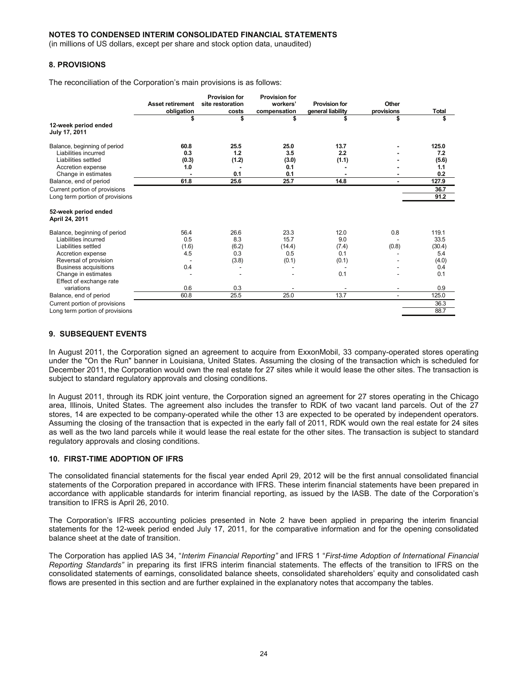(in millions of US dollars, except per share and stock option data, unaudited)

#### **8. PROVISIONS**

The reconciliation of the Corporation's main provisions is as follows:

|                                          | <b>Asset retirement</b><br>obligation<br>\$ | <b>Provision for</b><br>site restoration<br>costs<br>\$ | <b>Provision for</b><br>workers'<br>compensation<br>\$ | <b>Provision for</b><br>general liability<br>\$ | Other<br>provisions<br>\$ | <b>Total</b><br>\$ |
|------------------------------------------|---------------------------------------------|---------------------------------------------------------|--------------------------------------------------------|-------------------------------------------------|---------------------------|--------------------|
| 12-week period ended<br>July 17, 2011    |                                             |                                                         |                                                        |                                                 |                           |                    |
| Balance, beginning of period             | 60.8                                        | 25.5                                                    | 25.0                                                   | 13.7                                            |                           | 125.0              |
| Liabilities incurred                     | 0.3                                         | 1.2                                                     | 3.5                                                    | 2.2                                             |                           | 7.2                |
| Liabilities settled                      | (0.3)                                       | (1.2)                                                   | (3.0)                                                  | (1.1)                                           |                           | (5.6)              |
| Accretion expense<br>Change in estimates | 1.0                                         | 0.1                                                     | 0.1<br>0.1                                             |                                                 |                           | 1.1<br>0.2         |
| Balance, end of period                   | 61.8                                        | 25.6                                                    | 25.7                                                   | 14.8                                            |                           | 127.9              |
| Current portion of provisions            |                                             |                                                         |                                                        |                                                 |                           | 36.7               |
| Long term portion of provisions          |                                             |                                                         |                                                        |                                                 |                           | 91.2               |
| 52-week period ended<br>April 24, 2011   |                                             |                                                         |                                                        |                                                 |                           |                    |
| Balance, beginning of period             | 56.4                                        | 26.6                                                    | 23.3                                                   | 12.0                                            | 0.8                       | 119.1              |
| Liabilities incurred                     | 0.5                                         | 8.3                                                     | 15.7                                                   | 9.0                                             |                           | 33.5               |
| Liabilities settled                      | (1.6)                                       | (6.2)                                                   | (14.4)                                                 | (7.4)                                           | (0.8)                     | (30.4)             |
| Accretion expense                        | 4.5                                         | 0.3                                                     | 0.5                                                    | 0.1                                             |                           | 5.4                |
| Reversal of provision                    |                                             | (3.8)                                                   | (0.1)                                                  | (0.1)                                           |                           | (4.0)              |
| <b>Business acquisitions</b>             | 0.4                                         |                                                         |                                                        |                                                 |                           | 0.4                |
| Change in estimates                      |                                             |                                                         |                                                        | 0.1                                             |                           | 0.1                |
| Effect of exchange rate                  |                                             |                                                         |                                                        |                                                 |                           |                    |
| variations                               | 0.6                                         | 0.3                                                     |                                                        |                                                 |                           | 0.9                |
| Balance, end of period                   | 60.8                                        | 25.5                                                    | 25.0                                                   | 13.7                                            | ۰                         | 125.0              |
| Current portion of provisions            |                                             |                                                         |                                                        |                                                 |                           | 36.3               |
| Long term portion of provisions          |                                             |                                                         |                                                        |                                                 |                           | 88.7               |

#### **9. SUBSEQUENT EVENTS**

In August 2011, the Corporation signed an agreement to acquire from ExxonMobil, 33 company-operated stores operating under the "On the Run" banner in Louisiana, United States. Assuming the closing of the transaction which is scheduled for December 2011, the Corporation would own the real estate for 27 sites while it would lease the other sites. The transaction is subject to standard regulatory approvals and closing conditions.

In August 2011, through its RDK joint venture, the Corporation signed an agreement for 27 stores operating in the Chicago area, Illinois, United States. The agreement also includes the transfer to RDK of two vacant land parcels. Out of the 27 stores, 14 are expected to be company-operated while the other 13 are expected to be operated by independent operators. Assuming the closing of the transaction that is expected in the early fall of 2011, RDK would own the real estate for 24 sites as well as the two land parcels while it would lease the real estate for the other sites. The transaction is subject to standard regulatory approvals and closing conditions.

#### **10. FIRST-TIME ADOPTION OF IFRS**

The consolidated financial statements for the fiscal year ended April 29, 2012 will be the first annual consolidated financial statements of the Corporation prepared in accordance with IFRS. These interim financial statements have been prepared in accordance with applicable standards for interim financial reporting, as issued by the IASB. The date of the Corporation's transition to IFRS is April 26, 2010.

The Corporation's IFRS accounting policies presented in Note 2 have been applied in preparing the interim financial statements for the 12-week period ended July 17, 2011, for the comparative information and for the opening consolidated balance sheet at the date of transition.

The Corporation has applied IAS 34, "*Interim Financial Reporting"* and IFRS 1 "*First-time Adoption of International Financial Reporting Standards"* in preparing its first IFRS interim financial statements. The effects of the transition to IFRS on the consolidated statements of earnings, consolidated balance sheets, consolidated shareholders' equity and consolidated cash flows are presented in this section and are further explained in the explanatory notes that accompany the tables.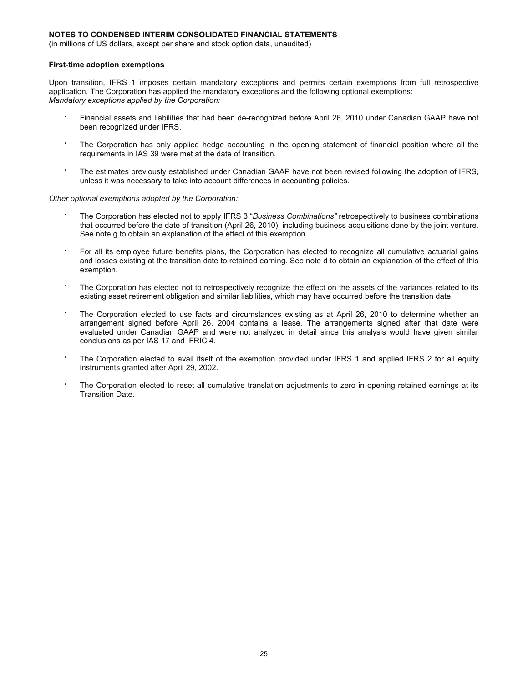(in millions of US dollars, except per share and stock option data, unaudited)

#### **First-time adoption exemptions**

Upon transition, IFRS 1 imposes certain mandatory exceptions and permits certain exemptions from full retrospective application. The Corporation has applied the mandatory exceptions and the following optional exemptions: *Mandatory exceptions applied by the Corporation:* 

- Financial assets and liabilities that had been de-recognized before April 26, 2010 under Canadian GAAP have not been recognized under IFRS.
- The Corporation has only applied hedge accounting in the opening statement of financial position where all the requirements in IAS 39 were met at the date of transition.
- The estimates previously established under Canadian GAAP have not been revised following the adoption of IFRS, unless it was necessary to take into account differences in accounting policies.

*Other optional exemptions adopted by the Corporation:* 

- The Corporation has elected not to apply IFRS 3 "*Business Combinations"* retrospectively to business combinations that occurred before the date of transition (April 26, 2010), including business acquisitions done by the joint venture. See note g to obtain an explanation of the effect of this exemption.
- For all its employee future benefits plans, the Corporation has elected to recognize all cumulative actuarial gains and losses existing at the transition date to retained earning. See note d to obtain an explanation of the effect of this exemption.
- The Corporation has elected not to retrospectively recognize the effect on the assets of the variances related to its existing asset retirement obligation and similar liabilities, which may have occurred before the transition date.
- The Corporation elected to use facts and circumstances existing as at April 26, 2010 to determine whether an arrangement signed before April 26, 2004 contains a lease. The arrangements signed after that date were evaluated under Canadian GAAP and were not analyzed in detail since this analysis would have given similar conclusions as per IAS 17 and IFRIC 4.
- The Corporation elected to avail itself of the exemption provided under IFRS 1 and applied IFRS 2 for all equity instruments granted after April 29, 2002.
- The Corporation elected to reset all cumulative translation adjustments to zero in opening retained earnings at its Transition Date.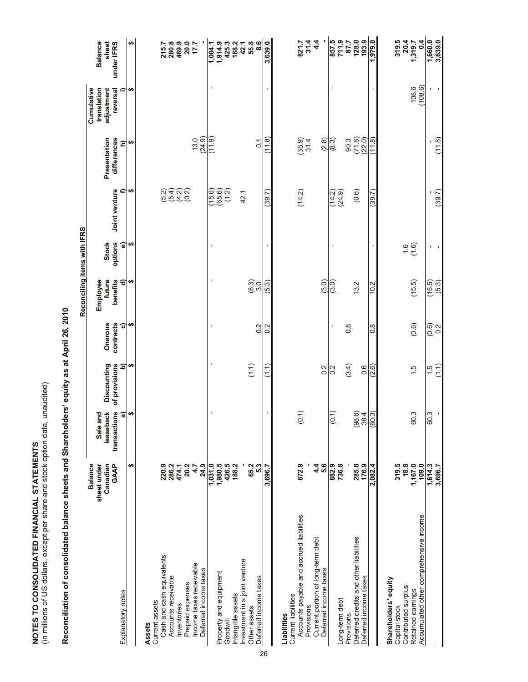| NOTES TO CONSOLIDATED FINANCIAL STATEMENTS | (in millions of US dollars, except per share and stock option data, unaudited) | Reconciliation of consolidated balance sheets and Shareholders' equity as |
|--------------------------------------------|--------------------------------------------------------------------------------|---------------------------------------------------------------------------|
|                                            |                                                                                |                                                                           |

|                                                                                                                               |                                                                                             | Rec<br>R |
|-------------------------------------------------------------------------------------------------------------------------------|---------------------------------------------------------------------------------------------|----------|
|                                                                                                                               |                                                                                             |          |
|                                                                                                                               |                                                                                             |          |
|                                                                                                                               |                                                                                             |          |
| in the property of the second state of the second state of the second state of the second state of the second state of $\sim$ | Reconciliation of consolidated balance sheets and Shareholders' equity as at April 26, 2010 |          |

|                                                  |                                                          |                                           |                              |                      | Reconciling items with IFRS    |                         |                  |                             |                                                     |                                       |
|--------------------------------------------------|----------------------------------------------------------|-------------------------------------------|------------------------------|----------------------|--------------------------------|-------------------------|------------------|-----------------------------|-----------------------------------------------------|---------------------------------------|
|                                                  | sheet under<br><b>GAAP</b><br><b>Balance</b><br>Canadian | leaseback<br>transactions<br>and<br>Sale: | Discounting<br>of provisions | contracts<br>Onerous | future<br>Employee<br>benefits | options<br><b>Stock</b> | Joint venture    | Presentation<br>differences | Cumulative<br>translation<br>adjustment<br>reversal | <b>Balance</b><br>sheet<br>under IFRS |
| Explanatory notes                                |                                                          | କ                                         | $\widehat{\mathbf{p}}$       | ō                    | ଟ                              | $\widehat{\bullet}$     | ₽                | $\widehat{=}$               | ≘                                                   |                                       |
|                                                  | ↮                                                        | ↮                                         | ↮                            | ↮                    | ↮                              | ↮                       | ↮                | ↮                           | ↮                                                   | ₩                                     |
| Assets                                           |                                                          |                                           |                              |                      |                                |                         |                  |                             |                                                     |                                       |
| Current assets                                   |                                                          |                                           |                              |                      |                                |                         |                  |                             |                                                     |                                       |
| Cash and cash equivalents                        | 220.9                                                    |                                           |                              |                      |                                |                         | (5.2)            |                             |                                                     | 215.7                                 |
| Accounts receivable                              | 286.2                                                    |                                           |                              |                      |                                |                         |                  |                             |                                                     | 280.8                                 |
| Inventories                                      | 474.1                                                    |                                           |                              |                      |                                |                         | `ଜ୍ୟଗ୍<br>.୫.ଏ.ଏ |                             |                                                     | 469.9                                 |
| Prepaid expenses                                 | 20.2                                                     |                                           |                              |                      |                                |                         |                  |                             |                                                     | 20.0<br>17.7                          |
| Income taxes receivable<br>Deferred income taxes | 24.9<br>4.7                                              |                                           |                              |                      |                                |                         |                  | (24.9)<br>13.0              |                                                     |                                       |
|                                                  | 1,031.0                                                  | J.                                        | $\mathbf{I}$                 | J.                   | J.                             | J.                      |                  | (11.9)                      |                                                     | 1,004.1                               |
| Property and equipment                           | 1,980.5                                                  |                                           |                              |                      |                                |                         | (0.91)           |                             |                                                     | 1,914.9                               |
| Goodwill                                         | 426.5                                                    |                                           |                              |                      |                                |                         | (1.2)            |                             |                                                     | 425.3                                 |
| ntangible assets                                 | 188.2                                                    |                                           |                              |                      |                                |                         |                  |                             |                                                     | 188.2                                 |
| Investment in a joint venture                    |                                                          |                                           |                              |                      |                                |                         | 42.1             |                             |                                                     | 42.1                                  |
| Other assets                                     | 65.2                                                     |                                           | (1.1)                        |                      |                                |                         |                  |                             |                                                     | 55.8                                  |
| Deferred income taxes                            | 5.3                                                      |                                           |                              | $\overline{0}$       | ၈<br>စ. ၈                      |                         |                  | $\overline{c}$              |                                                     | 8.6                                   |
|                                                  | 3,696.7                                                  | $\blacksquare$                            | اب<br>ا                      | 0.2                  | (5.3)                          | $\mathbf{I}$            | (39.7)           | (1.8)                       |                                                     | 3,639.0                               |
| Liabilities                                      |                                                          |                                           |                              |                      |                                |                         |                  |                             |                                                     |                                       |
| Current liabilities                              |                                                          |                                           |                              |                      |                                |                         |                  |                             |                                                     |                                       |
| Accounts payable and accrued liabilities         | 872.9                                                    | (0.1)                                     |                              |                      |                                |                         | (14.2)           | $(36.9)$<br>$37.4$          |                                                     | 821.7                                 |
| Current portion of long-term debt<br>Provisions  | 4.4                                                      |                                           |                              |                      |                                |                         |                  |                             |                                                     | 31.4<br>4.4                           |
| Deferred income taxes                            | 5.6                                                      |                                           | 0.2                          |                      | (3.0)                          |                         |                  | (2.8)                       |                                                     |                                       |
|                                                  | 882.9                                                    | $\overline{0}$ .1)                        | $\overline{0}$ .             | $\blacksquare$       | (3.0)                          |                         | (24.9)           | (8.3)                       |                                                     | 857.5                                 |
| Long-term debt<br>Provisions                     | 736.8                                                    |                                           |                              | $\frac{8}{2}$        |                                |                         |                  | 90.3                        |                                                     | 711.9<br>87.7                         |
| Deferred credits and other liabilities           | 285.8                                                    | (98.6)                                    | (3.4)                        |                      | 13.2                           |                         | (0.6)            | (71.8)                      |                                                     | 128.0                                 |
| Deferred income taxes                            | 176.9                                                    | 38.4                                      | 0.6                          |                      |                                |                         |                  | (22.0)                      |                                                     | 193.9                                 |
|                                                  | 2,082.4                                                  | (60.3)                                    | (2.6)                        | ∞<br>∽               | 10.2                           |                         | (39.7)           | (11.8)                      |                                                     | 1,979.0                               |
| Shareholders' equity                             |                                                          |                                           |                              |                      |                                |                         |                  |                             |                                                     |                                       |
| Capital stock                                    | 319.5                                                    |                                           |                              |                      |                                |                         |                  |                             |                                                     | 319.5                                 |
| Contributed surplus                              | 18.8                                                     |                                           |                              |                      |                                | $\frac{6}{10}$          |                  |                             |                                                     | 20.4                                  |
| Retained earnings                                | 1,167.0                                                  | 60.3                                      | $\frac{1}{1}$                | (0.6)                | (15.5)                         |                         |                  |                             | 108.6                                               | 1,319.7                               |
| Accumulated other comprehensive income           | 109.0                                                    |                                           |                              |                      |                                |                         |                  |                             | (108.6)                                             | $\overline{0.4}$                      |
|                                                  | 1,614.3                                                  | 60.3                                      | $\frac{5}{1}$                | (0.6)                | (15.5)                         | $\mathbf I$             |                  | ı                           |                                                     | 1,660.0                               |
|                                                  | 3,696.7                                                  |                                           | Ë                            | 0.2                  | (5.3)                          |                         | (39.7)           | (11.8)                      |                                                     | 3,639.0                               |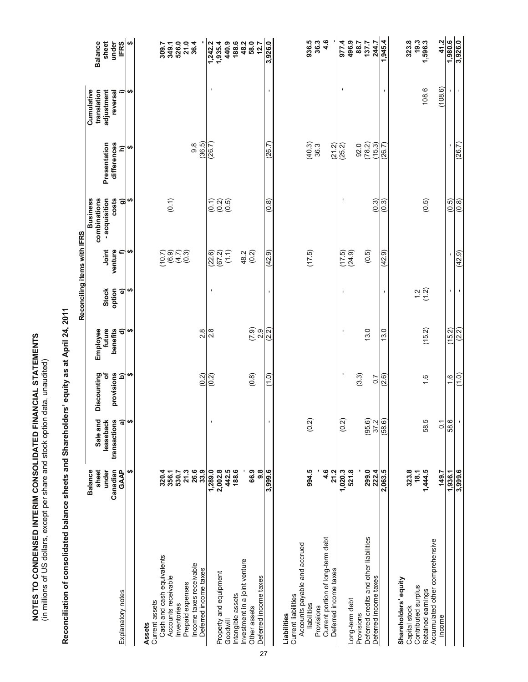| NOTES TO CONDENSED INTERIM CONSOLIDATED FINANCIAL STATEMENTS | (in millions of US dollars, except per share and stock option data, unaudited) |
|--------------------------------------------------------------|--------------------------------------------------------------------------------|
|                                                              |                                                                                |

| $\frac{1}{2}$          |
|------------------------|
|                        |
|                        |
|                        |
|                        |
|                        |
|                        |
|                        |
|                        |
|                        |
| <b>Libilo Dile のり?</b> |
|                        |
|                        |
|                        |
|                        |
|                        |
|                        |
|                        |
|                        |
|                        |
|                        |
| $\frac{1}{2}$          |
|                        |
|                        |
|                        |
|                        |
|                        |
|                        |
| :                      |
|                        |
| I                      |

|                                                 |                                  |                                |                            |                                           | Reconciling items with IFRS   |                      |                                                  |                              |                                         |                                  |
|-------------------------------------------------|----------------------------------|--------------------------------|----------------------------|-------------------------------------------|-------------------------------|----------------------|--------------------------------------------------|------------------------------|-----------------------------------------|----------------------------------|
|                                                 | <b>Balance</b><br>sheet<br>under | Sale and<br>leaseback          | Discounting<br>৳           | future<br>Employee                        | <b>Stock</b>                  | Joint                | - acquisition<br><b>Business</b><br>combinations | Presentation                 | Cumulative<br>adjustment<br>translation | <b>Balance</b><br>sheet<br>under |
| Explanatory notes                               | Canadian<br><b>GAAP</b>          | transactions<br>$\overline{a}$ | provisions<br>$\mathbf{a}$ | benefits<br>$\widehat{\sigma}$            | option<br>$\widehat{\bullet}$ | venture<br>Բ         | costs<br>ತಾ                                      | differences<br>$\widehat{=}$ | ≘<br>reversal                           | <b>IFRS</b>                      |
|                                                 | မာ                               |                                | ↮                          | H                                         | H                             | ↮                    | ↮                                                | H                            | ↮                                       | H                                |
| Assets                                          |                                  |                                |                            |                                           |                               |                      |                                                  |                              |                                         |                                  |
| Current assets                                  |                                  |                                |                            |                                           |                               |                      |                                                  |                              |                                         |                                  |
| Cash and cash equivalents                       | 320.4                            |                                |                            |                                           |                               |                      |                                                  |                              |                                         | 309.7                            |
| Accounts receivable                             | 356.1                            |                                |                            |                                           |                               | core<br>Core<br>Core | (0.1)                                            |                              |                                         |                                  |
| Inventories                                     | 530.7                            |                                |                            |                                           |                               |                      |                                                  |                              |                                         |                                  |
| Prepaid expenses                                | 21.3                             |                                |                            |                                           |                               |                      |                                                  |                              |                                         | ្គ<br>១៩០០ ។<br>១៩០ ភូមិ         |
| Income taxes receivable                         | 26.6                             |                                |                            |                                           |                               |                      |                                                  | 9.8                          |                                         |                                  |
| Deferred income taxes                           | 33.9                             |                                | (0.2)                      | $\frac{8}{2}$                             |                               |                      |                                                  | (36.5)                       |                                         |                                  |
|                                                 | 1,289.0                          |                                | (0.2)                      | $\frac{8}{2}$                             | ı                             | (22.6)               |                                                  | (26.7)                       | ı                                       | 1,242.2                          |
| Property and equipment                          | 2,002.8                          |                                |                            |                                           |                               | (67.2)               | e<br>Can<br>Can                                  |                              |                                         | 1,935.4                          |
| Goodwill                                        | 442.5                            |                                |                            |                                           |                               | (1.1)                |                                                  |                              |                                         | 440.9                            |
| Intangible assets                               | 188.6                            |                                |                            |                                           |                               |                      |                                                  |                              |                                         | 188.6                            |
| Investment in a joint venture                   |                                  |                                |                            |                                           |                               | 48.2                 |                                                  |                              |                                         | 48.2                             |
| Other assets                                    | 66.9                             |                                | (0.8)                      | $\begin{array}{c} 0.9 \\ 0.9 \end{array}$ |                               | (0.2)                |                                                  |                              |                                         | 58.0                             |
| Deferred income taxes                           | 9.8                              |                                |                            |                                           |                               |                      |                                                  |                              |                                         | 12.7                             |
|                                                 | 3,999.6                          |                                | $\frac{0}{2}$              | (2.2)                                     | $\blacksquare$                | (42.9)               | (0.8)                                            | (26.7)                       |                                         | 3,926.0                          |
| Liabilities                                     |                                  |                                |                            |                                           |                               |                      |                                                  |                              |                                         |                                  |
| <b>Current liabilities</b>                      |                                  |                                |                            |                                           |                               |                      |                                                  |                              |                                         |                                  |
| Accounts payable and accrued                    |                                  |                                |                            |                                           |                               |                      |                                                  |                              |                                         |                                  |
| liabilities                                     | 994.5                            | (0.2)                          |                            |                                           |                               | (17.5)               |                                                  | (40.3)<br>363                |                                         | 936.5                            |
| Current portion of long-term debt<br>Provisions | 4.6                              |                                |                            |                                           |                               |                      |                                                  |                              |                                         | 36.3<br>4.6                      |
| Deferred income taxes                           | 21.2                             |                                |                            |                                           |                               |                      |                                                  | (21.2)                       |                                         |                                  |
|                                                 | 1,020.3                          | $\frac{2}{3}$                  | J.                         | $\blacksquare$                            | $\blacksquare$                | (17.5)               | J,                                               | (25.2)                       |                                         | 977.4                            |
| Long-term debt                                  | 521.8                            |                                |                            |                                           |                               | (24.9)               |                                                  |                              |                                         | 496.9                            |
| Provisions                                      |                                  |                                | (3.3)                      |                                           |                               |                      |                                                  | 92.0                         |                                         | 88.7                             |
| Deferred credits and other liabilities          | 299.0                            | 95.2<br>37.2                   |                            | 13.0                                      |                               | (0.5)                |                                                  | $(78.2)$<br>$(15.3)$         |                                         | 137.7                            |
| Deferred income taxes                           | 222.4                            |                                | $\overline{0}$             |                                           |                               |                      | (0.3)                                            |                              |                                         | 244.7                            |
|                                                 | 2,063.5                          | (58.6)                         | (2.6)                      | 13.0                                      |                               | (42.9)               | (0.3)                                            | (26.7)                       |                                         | 1,945.4                          |
| Shareholders' equity                            |                                  |                                |                            |                                           |                               |                      |                                                  |                              |                                         |                                  |
| Capital stock                                   | 323.8                            |                                |                            |                                           |                               |                      |                                                  |                              |                                         | 323.8                            |
| Contributed surplus                             | 18.1                             |                                |                            |                                           | $\frac{1}{2}$                 |                      |                                                  |                              |                                         | 19.3<br>1,596.3                  |
| Retained earnings                               | 1,444.5                          | 58.5                           | 1.6                        | (15.2)                                    |                               |                      | (0.5)                                            |                              | 108.6                                   |                                  |
| Accumulated other comprehensive<br>income       | 149.7                            | $\overline{c}$                 |                            |                                           |                               |                      |                                                  |                              | (108.6)                                 | 41.2                             |
|                                                 | 1,936.1                          | 58.6                           | $\frac{6}{1}$              | (15.2)                                    |                               |                      | (0.5)                                            |                              |                                         | 1,980.6                          |
|                                                 | 3,999.6                          |                                | (1.0)                      | (2.2)                                     | $\blacksquare$                | (42.9)               | (0.8)                                            | (26.7)                       | $\mathbf{r}$                            | 3,926.0                          |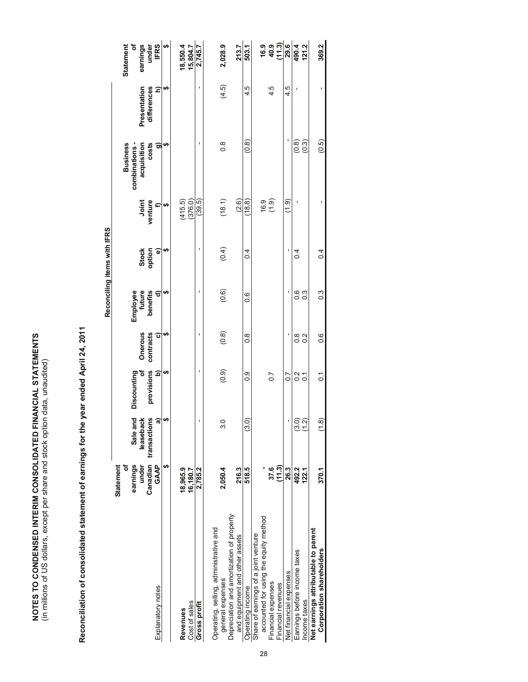NOTES TO CONDENSED INTERIM CONSOLIDATED FINANCIAL STATEMENTS<br>(in millions of US dollars, except per share and stock option data, unaudited) **NOTES TO CONDENSED INTERIM CONSOLIDATED FINANCIAL STATEMENTS**  (in millions of US dollars, except per share and stock option data, unaudited)

| I                                                  |
|----------------------------------------------------|
|                                                    |
|                                                    |
|                                                    |
|                                                    |
|                                                    |
|                                                    |
|                                                    |
|                                                    |
|                                                    |
|                                                    |
|                                                    |
|                                                    |
| ì                                                  |
|                                                    |
|                                                    |
|                                                    |
|                                                    |
|                                                    |
|                                                    |
| ֧֧ׅ֧֧֧֪ׅ֧֚֚֚֚֚֚֚֚֚֚֚֚֚֚֚֚֚֚֚֚֚֚֚֚֚֚֚֚֚֚֚֝֝֓֝֓֝֓֡֬֓ |
|                                                    |
|                                                    |
|                                                    |
| I                                                  |

|                                                                               |                            |                           |                 |                      |                                | Reconciling items with IFRS |                  |                                 |                             |                                                                                  |
|-------------------------------------------------------------------------------|----------------------------|---------------------------|-----------------|----------------------|--------------------------------|-----------------------------|------------------|---------------------------------|-----------------------------|----------------------------------------------------------------------------------|
|                                                                               | ৳<br>Statement<br>earnings | Sale and                  | Discounting     |                      |                                |                             |                  | <b>Business</b><br>combinations |                             | ð<br>Statement                                                                   |
|                                                                               | Canadian<br>under          | transactions<br>leaseback | provisions<br>৳ | Onerous<br>contracts | Employee<br>future<br>benefits | Stock<br>option             | Joint<br>venture | costs<br>acquisition            | Presentation<br>differences | earnings<br>under<br>IFRS                                                        |
| Explanatory notes                                                             | <b>GAAP</b>                |                           | ô               | ō                    | ଟ                              | $\widehat{\bullet}$         |                  | ີສ                              | Ξ                           |                                                                                  |
|                                                                               | t,                         | H)                        | မာ              | မာ                   | မာ                             | မာ                          | မာ               | မာ                              | မာ                          | ↔                                                                                |
| Revenues                                                                      | 18,965.9                   |                           |                 |                      |                                |                             | (415.5)          |                                 |                             | 18,550.4                                                                         |
| Cost of sales                                                                 | 16,180.7                   |                           |                 |                      |                                |                             | (376.0)          |                                 |                             | 15,804.7                                                                         |
| Gross profit                                                                  | 2,785.2                    |                           | ı               | ı                    | ı                              | ı                           | (39.5)           | t                               | ı                           | 2,745.7                                                                          |
| Operating, selling, administrative and                                        |                            |                           |                 |                      |                                |                             |                  |                                 |                             |                                                                                  |
| general expenses                                                              | 2,050.4                    | ್ಲ                        | (0.9)           | (0.8)                | (0.6)                          | (0.4)                       | (18.1)           | $\frac{8}{2}$                   | (4.5)                       | 2,028.9                                                                          |
| Depreciation and amortization of property                                     |                            |                           |                 |                      |                                |                             |                  |                                 |                             |                                                                                  |
| and equipment and other assets                                                | 216.3                      |                           |                 |                      |                                |                             | (2.6)            |                                 |                             | 213.7                                                                            |
| Operating income                                                              | 518.5                      | $\tilde{c}$               | 0.0             | $\frac{8}{1}$        | o.o                            | $\overline{0}$              | (18.8)           | (0.8)                           | 4.5                         | 503.1                                                                            |
| accounted for using the equity method<br>Share of earnings of a joint venture |                            |                           |                 |                      |                                |                             |                  |                                 |                             |                                                                                  |
| Financial expenses                                                            | 37.6                       |                           | 0.7             |                      |                                |                             | (6.9)            |                                 | 4.5                         | 9 9 9 이 <mark>9 년 년 일</mark><br>19 9 년 <mark>2 년 년 3 년</mark><br>19 9 년 <u>1</u> |
| Financial revenues                                                            | (11.3)                     |                           |                 |                      |                                |                             |                  |                                 |                             |                                                                                  |
| Net financial expenses                                                        | 26.3                       |                           | $\overline{0}$  |                      |                                |                             | (1.9)            |                                 | 4.5                         |                                                                                  |
| Earnings before income taxes                                                  | 492.2                      | <u>ာ</u>                  | $\frac{2}{3}$   | $\frac{8}{1}$        | 0.6                            | $\frac{4}{1}$               |                  | (0.8)                           |                             |                                                                                  |
| Income taxes                                                                  | 122.1                      |                           | $\overline{c}$  | 0.2                  | $\overline{0}$                 |                             |                  | (0.3)                           |                             |                                                                                  |
| Net earnings attributable to parent                                           |                            |                           |                 |                      |                                |                             |                  |                                 |                             |                                                                                  |
| Corporation shareholders                                                      | 370.1                      | ै।<br>C                   | $\tilde{c}$     | 0.6                  | $\frac{3}{2}$                  | 0.4                         |                  | (0.5)                           |                             | 369.2                                                                            |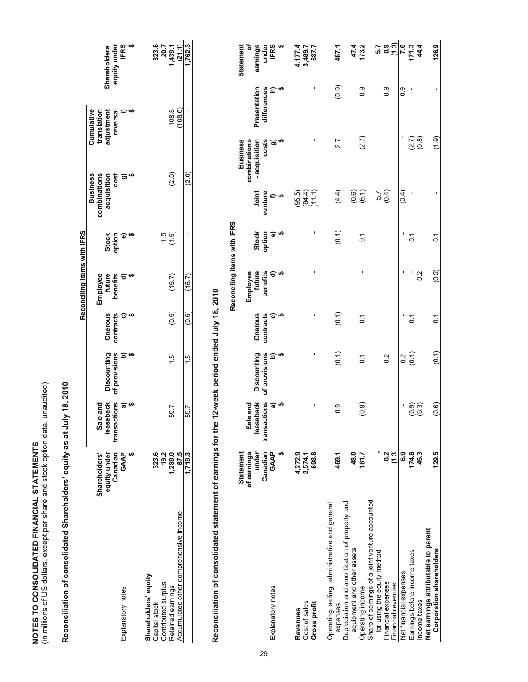NOTES TO CONSOLIDATED FINANCIAL STATEMENTS<br>(in millions of US dollars, except per share and stock option data, unaudited) (in millions of US dollars, except per share and stock option data, unaudited) **NOTES TO CONSOLIDATED FINANCIAL STATEMENTS** 

# Reconciliation of consolidated Shareholders' equity as at July 18, 2010 **Reconciliation of consolidated Shareholders' equity as at July 18, 2010**

|                                        |                          |                   |                       |                         | Reconciling items with IFRS |                      |                                 |                           |                             |
|----------------------------------------|--------------------------|-------------------|-----------------------|-------------------------|-----------------------------|----------------------|---------------------------------|---------------------------|-----------------------------|
|                                        | Shareholders'            | Sale and          |                       |                         |                             |                      | combinations<br><b>Business</b> | Cumulative                |                             |
|                                        | equity under<br>Canadian |                   | leaseback Discounting | <b>Onerous</b>          | Employee<br>future          |                      | acquisition                     | translation<br>adjustment | Shareholders'               |
|                                        |                          | sactions<br>trans | of provisions         | contracts               | benefits                    | Stock<br>option      | cost                            | reversal                  | equity under                |
| Explanatory notes                      | GAAP                     | ື                 |                       | $\overline{\mathbf{c}}$ |                             | $\overline{\bullet}$ |                                 |                           | <b>IFRS</b>                 |
|                                        |                          |                   |                       |                         |                             |                      |                                 |                           | G,                          |
|                                        |                          |                   |                       |                         |                             |                      |                                 |                           |                             |
| hareholders' equity                    |                          |                   |                       |                         |                             |                      |                                 |                           |                             |
| Capital stock                          |                          |                   |                       |                         |                             |                      |                                 |                           |                             |
| Contributed surplus                    | 323.4<br>19.2            |                   |                       |                         |                             | $\overline{5}$       |                                 |                           |                             |
| Retained earnings                      | 1,289.0<br>87.5          | 59.7              |                       | (0.5)                   | (15.7)                      | (1.5)                | (2.0)                           | 108.6                     | 323.6<br>1,439.1<br>1,439.1 |
| Accumulated other comprehensive income |                          |                   |                       |                         |                             |                      |                                 | (08.6)                    |                             |
|                                        | 1,719.3                  | 59.7              | $\frac{5}{1}$         | (0.5)                   | (15.7)                      |                      | (2.0)                           |                           | ,762.3                      |
|                                        |                          |                   |                       |                         |                             |                      |                                 |                           |                             |

# Reconciliation of consolidated statement of earnings for the 12-week period ended July 18, 2010 **Reconciliation of consolidated statement of earnings for the 12-week period ended July 18, 2010**

|                                                |                   |                           |                              |                      | Reconciling items with IFRS    |                     |                  |                        |                             |                    |
|------------------------------------------------|-------------------|---------------------------|------------------------------|----------------------|--------------------------------|---------------------|------------------|------------------------|-----------------------------|--------------------|
|                                                | <b>Statement</b>  |                           |                              |                      |                                |                     |                  | <b>Business</b>        |                             | <b>Statement</b>   |
|                                                | of earnings       | Sale and                  |                              |                      |                                |                     |                  | combinations           |                             | ئ                  |
|                                                | under<br>Canadian | leaseback<br>transactions | Discounting<br>of provisions | Onerous<br>contracts | benefits<br>Employee<br>future | Stock<br>option     | Joint<br>venture | - acquisition<br>costs | differences<br>Presentation | earnings<br>under  |
| Explanatory notes                              | GAAP              | ೯                         | $\widehat{\mathbf{p}}$       | $\sigma$             | $\widehat{\sigma}$             | $\widehat{\bullet}$ |                  | ີສ                     | $\widehat{z}$               | <b>IFRS</b>        |
|                                                | မာ                | မာ                        | မာ                           | မာ                   | ക                              | ↮                   | မာ               | မာ                     | မာ                          | ↮                  |
| Revenues                                       | 4,272.9           |                           |                              |                      |                                |                     | (95.5)           |                        |                             |                    |
| Cost of sales                                  | 3,574.1           |                           |                              |                      |                                |                     | (84.4)           |                        |                             | 4,177.4<br>3,489.7 |
| Gross profit                                   | 698.8             | ı                         | ı                            | ı                    | ı                              | ı                   | (111)<br>سا      | ı                      | ı                           | 687.7              |
| Operating, selling, administrative and general |                   |                           |                              |                      |                                |                     |                  |                        |                             |                    |
| expenses                                       | 469.1             | 0.0                       | $\overline{0.1}$             | (0.1)                |                                | (0.1)               | (4.4)            | 2.7                    | (0.9)                       | 467.1              |
| Depreciation and amortization of property and  |                   |                           |                              |                      |                                |                     |                  |                        |                             |                    |
| equipment and other assets                     | 48.0              |                           |                              |                      |                                |                     | (0.6)            |                        |                             | 47.4               |
| Operating income                               | 181.7             | (0.9)                     | 5                            | Σ,                   |                                | ៍                   | (6.1             | (2.7)                  | ၀ံ                          | 173.2              |
| Share of earnings of a joint venture accounted |                   |                           |                              |                      |                                |                     |                  |                        |                             |                    |
| for using the equity method                    |                   |                           |                              |                      |                                |                     |                  |                        |                             | 5.7                |
| Financial expenses                             | 8.2               |                           | $\frac{2}{3}$                |                      |                                |                     | $\frac{57}{0.4}$ |                        | $\frac{0}{2}$               | 8.9<br>0.3         |
| Financial revenues                             | (1.3)             |                           |                              |                      |                                |                     |                  |                        |                             |                    |
| Net financial expenses                         | င္မ               |                           | $\frac{2}{3}$                |                      |                                |                     | (0.4)            |                        | 0.0                         | 7.6                |
| Earnings before income taxes                   | 174.8             | $\overline{0.9}$          | $\overline{0}$ .             | Σ,                   |                                | ွ                   |                  | (2.7)                  |                             | 171.3              |
| Income taxes                                   | 45.3              | $\overline{0}$            |                              |                      | $\frac{2}{3}$                  |                     |                  | (0.8)                  |                             | 44.4               |
| Net earnings attributable to parent            |                   |                           |                              |                      |                                |                     |                  |                        |                             |                    |
| Corporation shareholders                       | 129.5             | (0.6)                     | (0.1)                        | $\overline{c}$       | (0.2)                          | $\tilde{\circ}$     |                  | (1.9)                  |                             | 126.9              |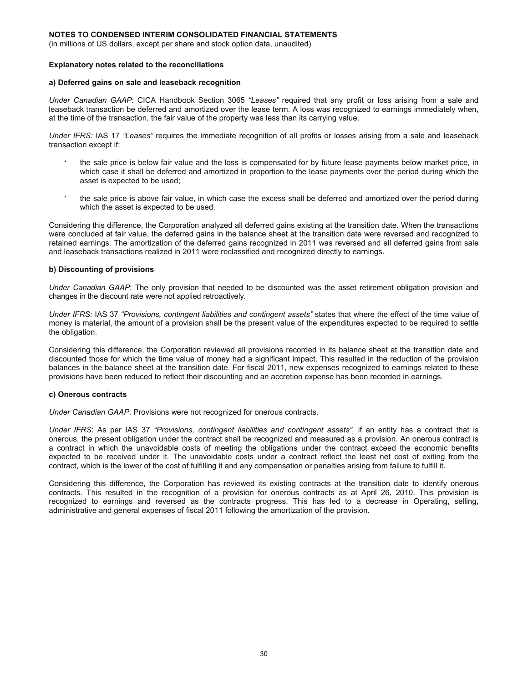(in millions of US dollars, except per share and stock option data, unaudited)

#### **Explanatory notes related to the reconciliations**

#### **a) Deferred gains on sale and leaseback recognition**

*Under Canadian GAAP*: CICA Handbook Section 3065 *"Leases"* required that any profit or loss arising from a sale and leaseback transaction be deferred and amortized over the lease term. A loss was recognized to earnings immediately when, at the time of the transaction, the fair value of the property was less than its carrying value.

*Under IFRS:* IAS 17 *"Leases"* requires the immediate recognition of all profits or losses arising from a sale and leaseback transaction except if:

- the sale price is below fair value and the loss is compensated for by future lease payments below market price, in which case it shall be deferred and amortized in proportion to the lease payments over the period during which the asset is expected to be used;
- the sale price is above fair value, in which case the excess shall be deferred and amortized over the period during which the asset is expected to be used.

Considering this difference, the Corporation analyzed all deferred gains existing at the transition date. When the transactions were concluded at fair value, the deferred gains in the balance sheet at the transition date were reversed and recognized to retained earnings. The amortization of the deferred gains recognized in 2011 was reversed and all deferred gains from sale and leaseback transactions realized in 2011 were reclassified and recognized directly to earnings.

#### **b) Discounting of provisions**

*Under Canadian GAAP*: The only provision that needed to be discounted was the asset retirement obligation provision and changes in the discount rate were not applied retroactively.

*Under IFRS:* IAS 37 *"Provisions, contingent liabilities and contingent assets"* states that where the effect of the time value of money is material, the amount of a provision shall be the present value of the expenditures expected to be required to settle the obligation.

Considering this difference, the Corporation reviewed all provisions recorded in its balance sheet at the transition date and discounted those for which the time value of money had a significant impact. This resulted in the reduction of the provision balances in the balance sheet at the transition date. For fiscal 2011, new expenses recognized to earnings related to these provisions have been reduced to reflect their discounting and an accretion expense has been recorded in earnings.

#### **c) Onerous contracts**

*Under Canadian GAAP*: Provisions were not recognized for onerous contracts.

*Under IFRS*: As per IAS 37 *"Provisions, contingent liabilities and contingent assets",* if an entity has a contract that is onerous, the present obligation under the contract shall be recognized and measured as a provision. An onerous contract is a contract in which the unavoidable costs of meeting the obligations under the contract exceed the economic benefits expected to be received under it. The unavoidable costs under a contract reflect the least net cost of exiting from the contract, which is the lower of the cost of fulfilling it and any compensation or penalties arising from failure to fulfill it.

Considering this difference, the Corporation has reviewed its existing contracts at the transition date to identify onerous contracts. This resulted in the recognition of a provision for onerous contracts as at April 26, 2010. This provision is recognized to earnings and reversed as the contracts progress. This has led to a decrease in Operating, selling, administrative and general expenses of fiscal 2011 following the amortization of the provision.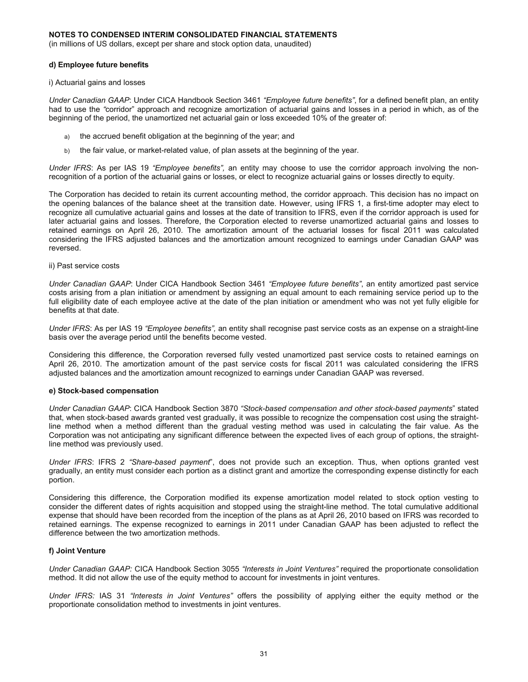(in millions of US dollars, except per share and stock option data, unaudited)

#### **d) Employee future benefits**

i) Actuarial gains and losses

*Under Canadian GAAP*: Under CICA Handbook Section 3461 *"Employee future benefits"*, for a defined benefit plan, an entity had to use the *"*corridor" approach and recognize amortization of actuarial gains and losses in a period in which, as of the beginning of the period, the unamortized net actuarial gain or loss exceeded 10% of the greater of:

- a) the accrued benefit obligation at the beginning of the year; and
- b) the fair value, or market-related value, of plan assets at the beginning of the year.

*Under IFRS*: As per IAS 19 *"Employee benefits",* an entity may choose to use the corridor approach involving the nonrecognition of a portion of the actuarial gains or losses, or elect to recognize actuarial gains or losses directly to equity.

The Corporation has decided to retain its current accounting method, the corridor approach. This decision has no impact on the opening balances of the balance sheet at the transition date. However, using IFRS 1, a first-time adopter may elect to recognize all cumulative actuarial gains and losses at the date of transition to IFRS, even if the corridor approach is used for later actuarial gains and losses. Therefore, the Corporation elected to reverse unamortized actuarial gains and losses to retained earnings on April 26, 2010. The amortization amount of the actuarial losses for fiscal 2011 was calculated considering the IFRS adjusted balances and the amortization amount recognized to earnings under Canadian GAAP was reversed.

ii) Past service costs

*Under Canadian GAAP*: Under CICA Handbook Section 3461 *"Employee future benefits"*, an entity amortized past service costs arising from a plan initiation or amendment by assigning an equal amount to each remaining service period up to the full eligibility date of each employee active at the date of the plan initiation or amendment who was not yet fully eligible for benefits at that date.

*Under IFRS*: As per IAS 19 *"Employee benefits",* an entity shall recognise past service costs as an expense on a straight-line basis over the average period until the benefits become vested.

Considering this difference, the Corporation reversed fully vested unamortized past service costs to retained earnings on April 26, 2010. The amortization amount of the past service costs for fiscal 2011 was calculated considering the IFRS adjusted balances and the amortization amount recognized to earnings under Canadian GAAP was reversed.

#### **e) Stock-based compensation**

*Under Canadian GAAP*: CICA Handbook Section 3870 *"Stock-based compensation and other stock-based payments*" stated that, when stock-based awards granted vest gradually, it was possible to recognize the compensation cost using the straightline method when a method different than the gradual vesting method was used in calculating the fair value. As the Corporation was not anticipating any significant difference between the expected lives of each group of options, the straightline method was previously used.

*Under IFRS*: IFRS 2 *"Share-based payment*", does not provide such an exception. Thus, when options granted vest gradually, an entity must consider each portion as a distinct grant and amortize the corresponding expense distinctly for each portion.

Considering this difference, the Corporation modified its expense amortization model related to stock option vesting to consider the different dates of rights acquisition and stopped using the straight-line method. The total cumulative additional expense that should have been recorded from the inception of the plans as at April 26, 2010 based on IFRS was recorded to retained earnings. The expense recognized to earnings in 2011 under Canadian GAAP has been adjusted to reflect the difference between the two amortization methods.

#### **f) Joint Venture**

*Under Canadian GAAP:* CICA Handbook Section 3055 *"Interests in Joint Ventures"* required the proportionate consolidation method. It did not allow the use of the equity method to account for investments in joint ventures.

*Under IFRS:* IAS 31 *"Interests in Joint Ventures"* offers the possibility of applying either the equity method or the proportionate consolidation method to investments in joint ventures.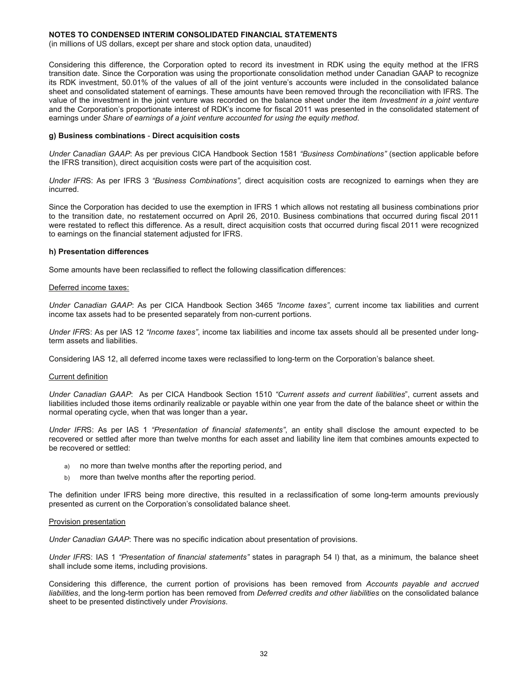(in millions of US dollars, except per share and stock option data, unaudited)

Considering this difference, the Corporation opted to record its investment in RDK using the equity method at the IFRS transition date. Since the Corporation was using the proportionate consolidation method under Canadian GAAP to recognize its RDK investment, 50.01% of the values of all of the joint venture's accounts were included in the consolidated balance sheet and consolidated statement of earnings. These amounts have been removed through the reconciliation with IFRS. The value of the investment in the joint venture was recorded on the balance sheet under the item *Investment in a joint venture*  and the Corporation's proportionate interest of RDK's income for fiscal 2011 was presented in the consolidated statement of earnings under *Share of earnings of a joint venture accounted for using the equity method*.

#### **g) Business combinations** - **Direct acquisition costs**

*Under Canadian GAAP*: As per previous CICA Handbook Section 1581 *"Business Combinations"* (section applicable before the IFRS transition), direct acquisition costs were part of the acquisition cost.

*Under IFR*S: As per IFRS 3 *"Business Combinations",* direct acquisition costs are recognized to earnings when they are incurred.

Since the Corporation has decided to use the exemption in IFRS 1 which allows not restating all business combinations prior to the transition date, no restatement occurred on April 26, 2010. Business combinations that occurred during fiscal 2011 were restated to reflect this difference. As a result, direct acquisition costs that occurred during fiscal 2011 were recognized to earnings on the financial statement adjusted for IFRS.

#### **h) Presentation differences**

Some amounts have been reclassified to reflect the following classification differences:

#### Deferred income taxes:

*Under Canadian GAAP*: As per CICA Handbook Section 3465 *"Income taxes"*, current income tax liabilities and current income tax assets had to be presented separately from non-current portions.

*Under IFR*S: As per IAS 12 *"Income taxes"*, income tax liabilities and income tax assets should all be presented under longterm assets and liabilities.

Considering IAS 12, all deferred income taxes were reclassified to long-term on the Corporation's balance sheet.

#### Current definition

*Under Canadian GAAP*: As per CICA Handbook Section 1510 *"Current assets and current liabilities*", current assets and liabilities included those items ordinarily realizable or payable within one year from the date of the balance sheet or within the normal operating cycle, when that was longer than a year**.** 

*Under IFR*S: As per IAS 1 *"Presentation of financial statements"*, an entity shall disclose the amount expected to be recovered or settled after more than twelve months for each asset and liability line item that combines amounts expected to be recovered or settled:

- a) no more than twelve months after the reporting period, and
- b) more than twelve months after the reporting period.

The definition under IFRS being more directive, this resulted in a reclassification of some long-term amounts previously presented as current on the Corporation's consolidated balance sheet.

#### Provision presentation

*Under Canadian GAAP*: There was no specific indication about presentation of provisions.

*Under IFR*S: IAS 1 *"Presentation of financial statements"* states in paragraph 54 l) that, as a minimum, the balance sheet shall include some items, including provisions.

Considering this difference, the current portion of provisions has been removed from *Accounts payable and accrued liabilities*, and the long-term portion has been removed from *Deferred credits and other liabilities* on the consolidated balance sheet to be presented distinctively under *Provisions*.